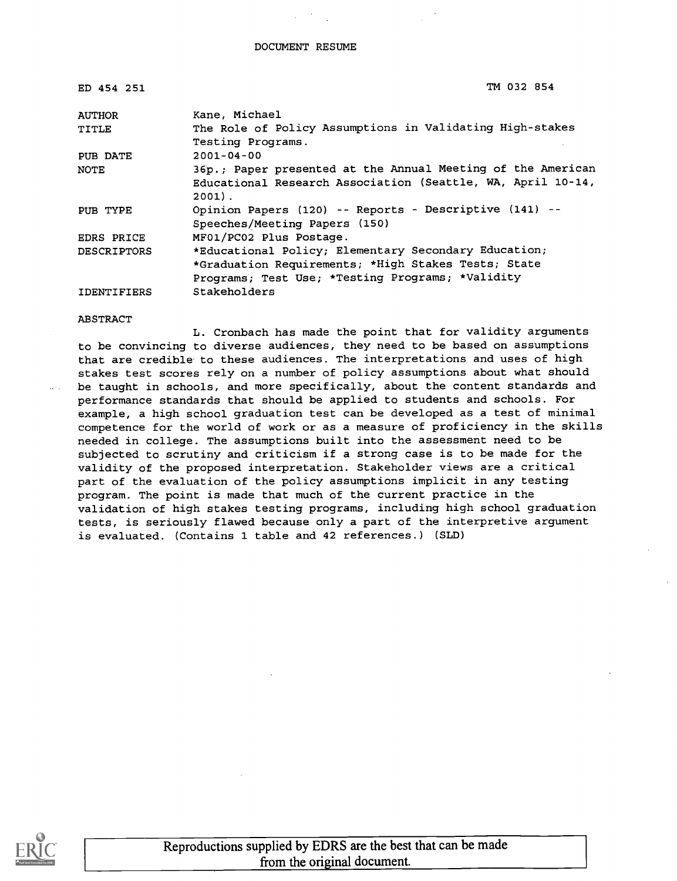| ED 454 251         | TM 032 854                                                  |
|--------------------|-------------------------------------------------------------|
| <b>AUTHOR</b>      | Kane. Michael                                               |
| TITLE              | The Role of Policy Assumptions in Validating High-stakes    |
|                    | Testing Programs.                                           |
| PUB DATE           | $2001 - 04 - 00$                                            |
| <b>NOTE</b>        | 36p.; Paper presented at the Annual Meeting of the American |
|                    | Educational Research Association (Seattle, WA, April 10-14, |
|                    | $2001$ .                                                    |
| PUB TYPE           | Opinion Papers (120) -- Reports - Descriptive (141) --      |
|                    | Speeches/Meeting Papers (150)                               |
| EDRS PRICE         | MF01/PC02 Plus Postage.                                     |
| <b>DESCRIPTORS</b> | *Educational Policy; Elementary Secondary Education;        |
|                    | *Graduation Requirements; *High Stakes Tests; State         |
|                    | Programs; Test Use; *Testing Programs; *Validity            |
| <b>IDENTIFIERS</b> | Stakeholders                                                |

#### ABSTRACT

L. Cronbach has made the point that for validity arguments to be convincing to diverse audiences, they need to be based on assumptions that are credible to these audiences. The interpretations and uses of high stakes test scores rely on a number of policy assumptions about what should be taught in schools, and more specifically, about the content standards and performance standards that should be applied to students and schools. For example, a high school graduation test can be developed as a test of minimal competence for the world of work or as a measure of proficiency in the skills needed in college. The assumptions built into the assessment need to be subjected to scrutiny and criticism if a strong case is to be made for the validity of the proposed interpretation. Stakeholder views are a critical part of the evaluation of the policy assumptions implicit in any testing program. The point is made that much of the current practice in the validation of high stakes testing programs, including high school graduation tests, is seriously flawed because only a part of the interpretive argument is evaluated. (Contains 1 table and 42 references.) (SLD)

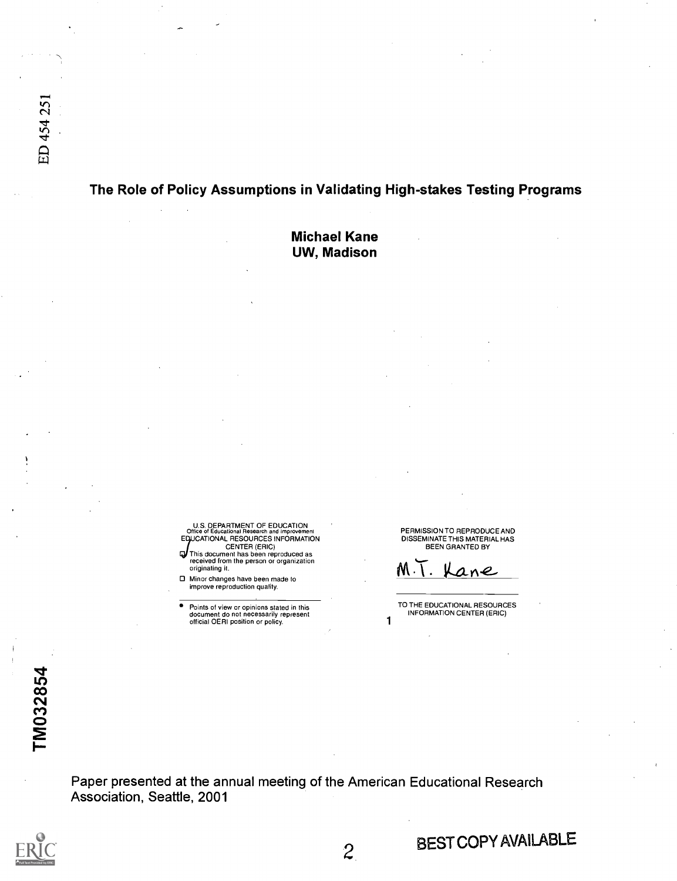### The Role of Policy Assumptions in Validating High-stakes Testing Programs

Michael Kane UW, Madison

U.S. DEPARTMENT OF EDUCATION<br>Office of Educational Research and improvement<br>EDUCATIONAL RESOURCES INFORMATION

CENTER (ERIC) This document has been reproduced as received from the person or organization originating it.

Minor changes have been made to improve reproduction quality.

Points of view or opinions stated in this document do not necessarily represent official OERI position or policy. 1

PERMISSION TO REPRODUCE AND DISSEMINATE THIS MATERIAL HAS BEEN GRANTED BY

M . ane

TO THE EDUCATIONAL RESOURCES INFORMATION CENTER (ERIC)

Paper presented at the annual meeting of the American Educational Research Association, Seattle, 2001



BEST COPYAVAILABLE

 $\overline{c}$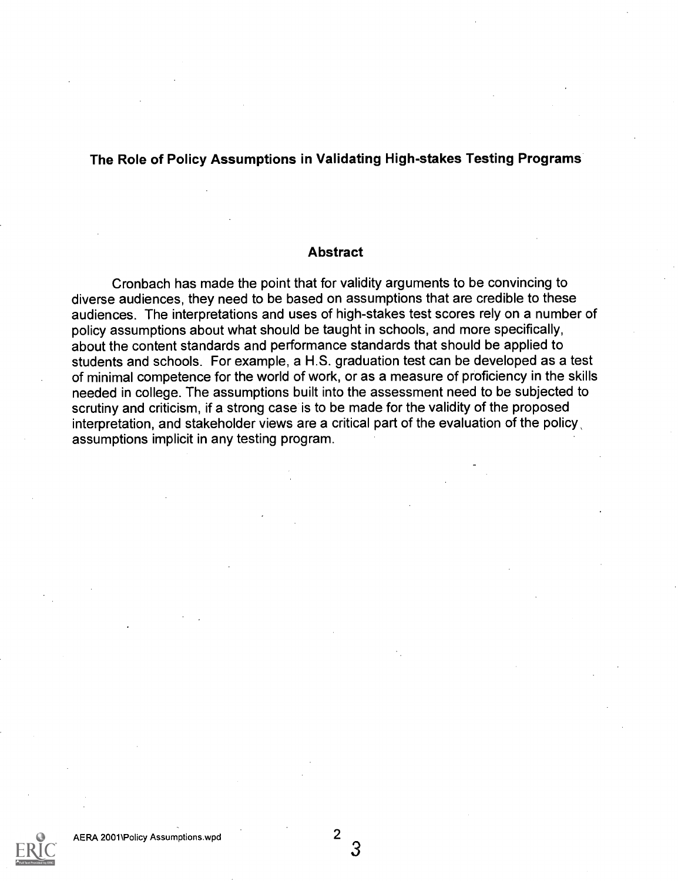### The Role of Policy Assumptions in Validating High-stakes Testing Programs

#### Abstract

Cronbach has made the point that for validity arguments to be convincing to diverse audiences, they need to be based on assumptions that are credible to these audiences. The interpretations and uses of high-stakes test scores rely on a number of policy assumptions about what should be taught in schools, and more specifically, about the content standards and performance standards that should be applied to students and schools. For example, a H.S. graduation test can be developed as a test of minimal competence for the world of work, or as a measure of proficiency in the skills needed in college. The assumptions built into the assessment need to be subjected to scrutiny and criticism, if a strong case is to be made for the validity of the proposed interpretation, and stakeholder views are a critical part of the evaluation of the policy, assumptions implicit in any testing program.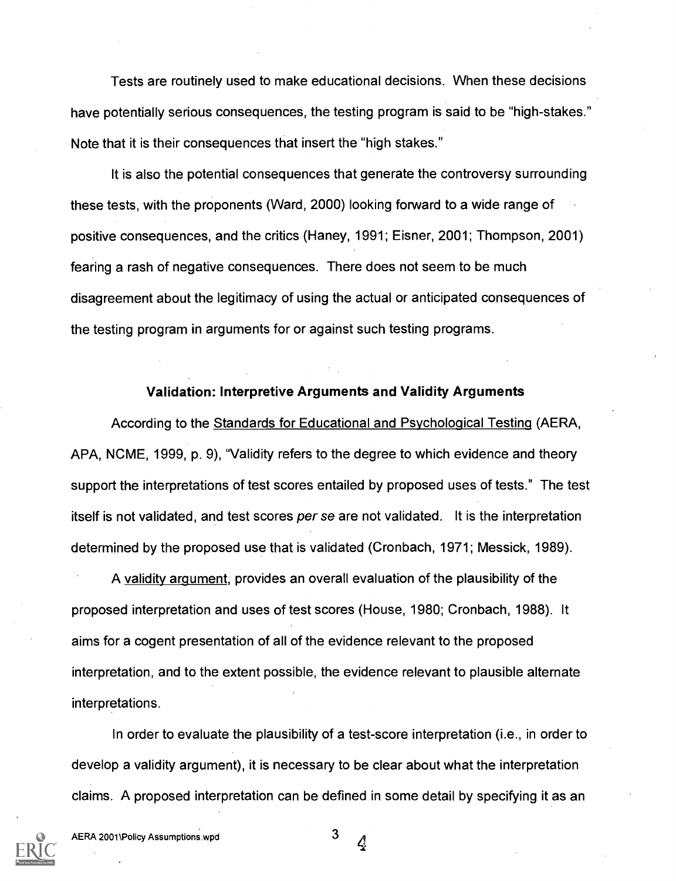Tests are routinely used to make educational decisions. When these decisions have potentially serious consequences, the testing program is said to be "high-stakes." Note that it is their consequences that insert the "high stakes."

It is also the potential consequences that generate the controversy surrounding these tests, with the proponents (Ward, 2000) looking forward to a wide range of positive consequences, and the critics (Haney, 1991; Eisner, 2001; Thompson, 2001) fearing a rash of negative consequences. There does not seem to be much disagreement about the legitimacy of using the actual or anticipated consequences of the testing program in arguments for or against such testing programs.

#### Validation: Interpretive Arguments and Validity Arguments

According to the Standards for Educational and Psychological Testing (AERA, APA, NCME, 1999, p. 9), "Validity refers to the degree to which evidence and theory support the interpretations of test scores entailed by proposed uses of tests." The test itself is not validated, and test scores *per se* are not validated. It is the interpretation determined by the proposed use that is validated (Cronbach, 1971; Messick, 1989).

A validity argument, provides an overall evaluation of the plausibility of the proposed interpretation and uses of test scores (House, 1980; Cronbach, 1988). It aims for a cogent presentation of all of the evidence relevant to the proposed interpretation, and to the extent possible, the evidence relevant to plausible alternate interpretations.

In order to evaluate the plausibility of a test-score interpretation (i.e., in order to develop a validity argument), it is necessary to be clear about what the interpretation claims. A proposed interpretation can be defined in some detail by specifying it as an

4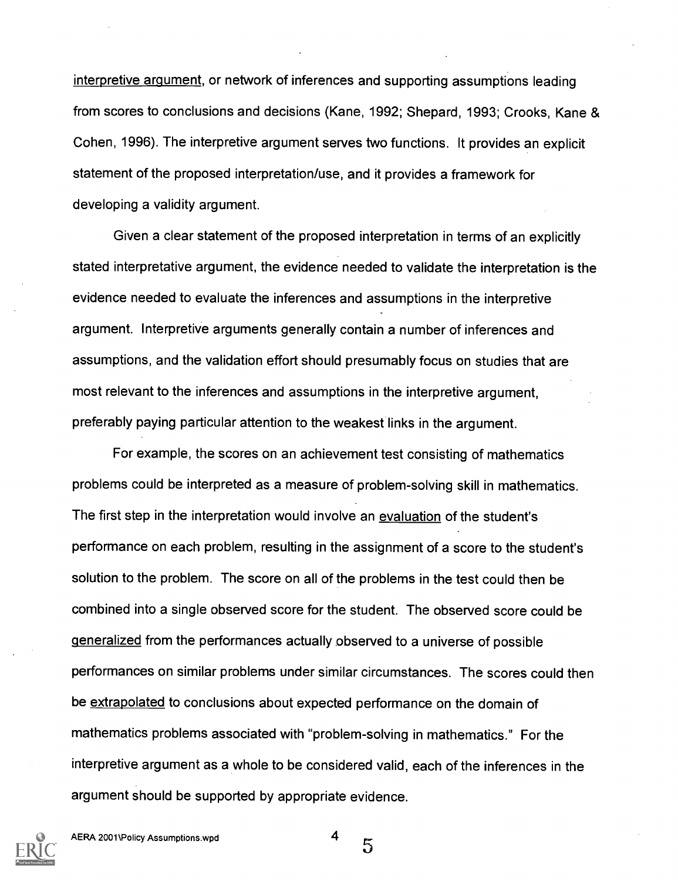interpretive argument, or network of inferences and supporting assumptions leading from scores to conclusions and decisions (Kane, 1992; Shepard, 1993; Crooks, Kane & Cohen, 1996). The interpretive argument serves two functions. It provides an explicit statement of the proposed interpretation/use, and it provides a framework for developing a validity argument.

Given a clear statement of the proposed interpretation in terms of an explicitly stated interpretative argument, the evidence needed to validate the interpretation is the evidence needed to evaluate the inferences and assumptions in the interpretive argument. Interpretive arguments generally contain a number of inferences and assumptions, and the validation effort should presumably focus on studies that are most relevant to the inferences and assumptions in the interpretive argument, preferably paying particular attention to the weakest links in the argument.

For example, the scores on an achievement test consisting of mathematics problems could be interpreted as a measure of problem-solving skill in mathematics. The first step in the interpretation would involve an evaluation of the student's performance on each problem, resulting in the assignment of a score to the student's solution to the problem. The score on all of the problems in the test could then be combined into a single observed score for the student. The observed score could be generalized from the performances actually observed to a universe of possible performances on similar problems under similar circumstances. The scores could then be extrapolated to conclusions about expected performance on the domain of mathematics problems associated with "problem-solving in mathematics." For the interpretive argument as a whole to be considered valid, each of the inferences in the argument should be supported by appropriate evidence.

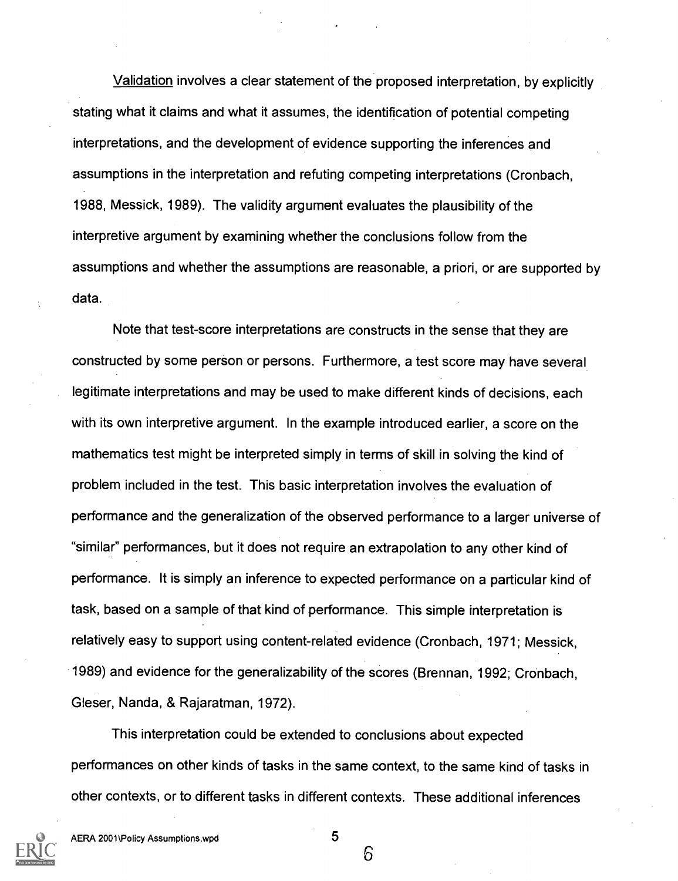Validation involves a clear statement of the proposed interpretation, by explicitly stating what it claims and what it assumes, the identification of potential competing interpretations, and the development of evidence supporting the inferences and assumptions in the interpretation and refuting competing interpretations (Cronbach, 1988, Messick, 1989). The validity argument evaluates the plausibility of the interpretive argument by examining whether the conclusions follow from the assumptions and whether the assumptions are reasonable, a priori, or are supported by data.

Note that test-score interpretations are constructs in the sense that they are constructed by some person or persons. Furthermore, a test score may have several legitimate interpretations and may be used to make different kinds of decisions, each with its own interpretive argument. In the example introduced earlier, a score on the mathematics test might be interpreted simply in terms of skill in solving the kind of problem included in the test. This basic interpretation involves the evaluation of performance and the generalization of the observed performance to a larger universe of "similar" performances, but it does not require an extrapolation to any other kind of performance. It is simply an inference to expected performance on a particular kind of task, based on a sample of that kind of performance. This simple interpretation is relatively easy to support using content-related evidence (Cronbach, 1971; Messick, 1989) and evidence for the generalizability of the scores (Brennan, 1992; Cronbach, Gleser, Nanda, & Rajaratman, 1972).

This interpretation could be extended to conclusions about expected performances on other kinds of tasks in the same context, to the same kind of tasks in other contexts, or to different tasks in different contexts. These additional inferences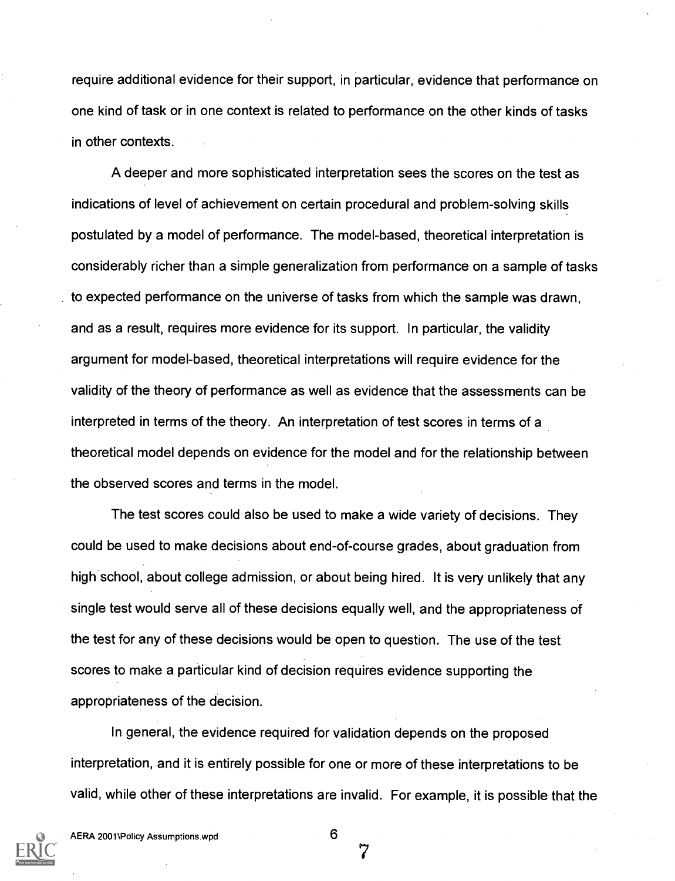require additional evidence for their support, in particular, evidence that performance on one kind of task or in one context is related to performance on the other kinds of tasks in other contexts.

A deeper and more sophisticated interpretation sees the scores on the test as indications of level of achievement on certain procedural and problem-solving skills postulated by a model of performance. The model-based, theoretical interpretation is considerably richer than a simple generalization from performance on a sample of tasks to expected performance on the universe of tasks from which the sample was drawn, and as a result, requires more evidence for its support. In particular, the validity argument for model-based, theoretical interpretations will require evidence for the validity of the theory of performance as well as evidence that the assessments can be interpreted in terms of the theory. An interpretation of test scores in terms of a theoretical model depends on evidence for the model and for the relationship between the observed scores and terms in the model.

The test scores could also be used to make a wide variety of decisions. They could be used to make decisions about end-of-course grades, about graduation from high school, about college admission, or about being hired. It is very unlikely that any single test would serve all of these decisions equally well, and the appropriateness of the test for any of these decisions would be open to question. The use of the test scores to make a particular kind of decision requires evidence supporting the appropriateness of the decision.

In general, the evidence required for validation depends on the proposed interpretation, and it is entirely possible for one or more of these interpretations to be valid, while other of these interpretations are invalid. For example, it is possible that the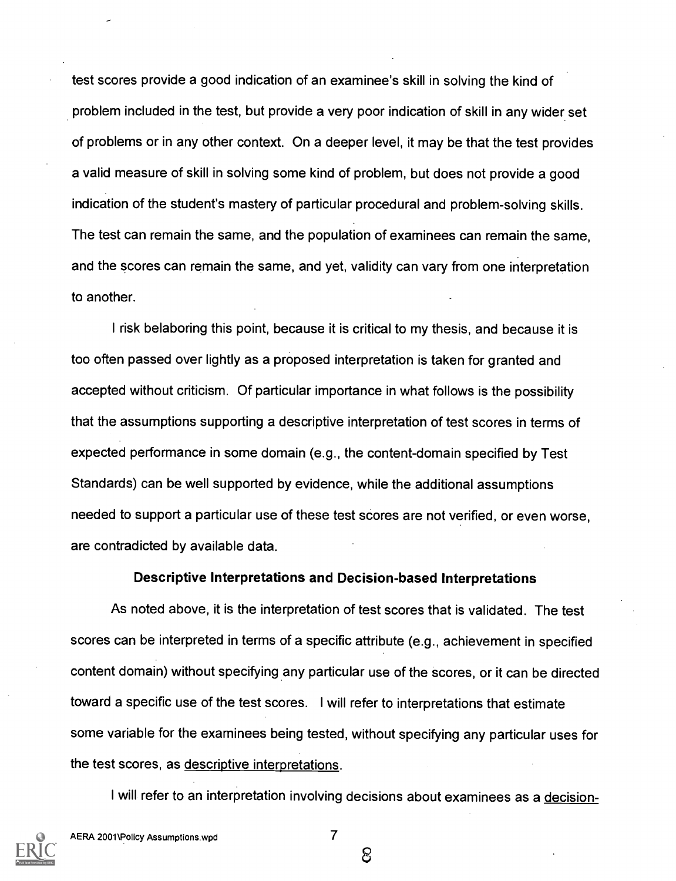test scores provide a good indication of an examinee's skill in solving the kind of problem included in the test, but provide a very poor indication of skill in any wider set of problems or in any other context. On a deeper level, it may be that the test provides a valid measure of skill in solving some kind of problem, but does not provide a good indication of the student's mastery of particular procedural and problem-solving skills. The test can remain the same, and the population of examinees can remain the same, and the scores can remain the same, and yet, validity can vary from one interpretation to another.

I risk belaboring this point, because it is critical to my thesis, and because it is too often passed over lightly as a proposed interpretation is taken for granted and accepted without criticism. Of particular importance in what follows is the possibility that the assumptions supporting a descriptive interpretation of test scores in terms of expected performance in some domain (e.g., the content-domain specified by Test Standards) can be well supported by evidence, while the additional assumptions needed to support a particular use of these test scores are not verified, or even worse, are contradicted by available data.

#### Descriptive Interpretations and Decision-based Interpretations

As noted above, it is the interpretation of test scores that is validated. The test scores can be interpreted in terms of a specific attribute (e.g., achievement in specified content domain) without specifying any particular use of the scores, or it can be directed toward a specific use of the test scores. I will refer to interpretations that estimate some variable for the examinees being tested, without specifying any particular uses for the test scores, as descriptive interpretations.

I will refer to an interpretation involving decisions about examinees as a decision-

ලි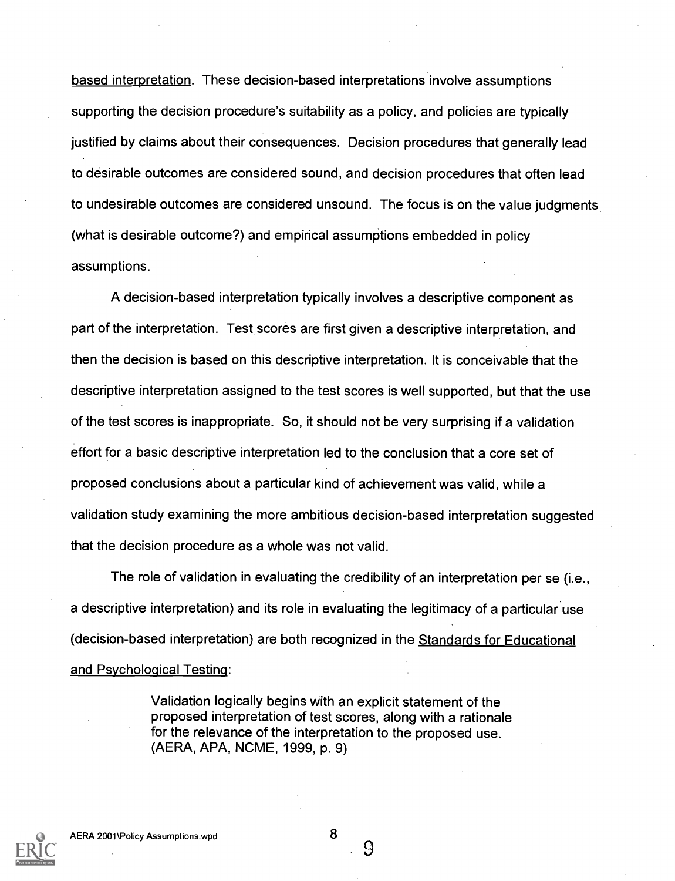based interpretation. These decision-based interpretations involve assumptions supporting the decision procedure's suitability as a policy, and policies are typically justified by claims about their consequences. Decision procedures that generally lead to desirable outcomes are considered sound, and decision procedures that often lead to undesirable outcomes are considered unsound. The focus is on the value judgments (what is desirable outcome?) and empirical assumptions embedded in policy assumptions.

A decision-based interpretation typically involves a descriptive component as part of the interpretation. Test scores are first given a descriptive interpretation, and then the decision is based on this descriptive interpretation. It is conceivable that the descriptive interpretation assigned to the test scores is well supported, but that the use of the test scores is inappropriate. So, it should not be very surprising if a validation effort for a basic descriptive interpretation led to the conclusion that a core set of proposed conclusions about a particular kind of achievement was valid, while a validation study examining the more ambitious decision-based interpretation suggested that the decision procedure as a whole was not valid.

The role of validation in evaluating the credibility of an interpretation per se (i.e., a descriptive interpretation) and its role in evaluating the legitimacy of a particular use (decision-based interpretation) are both recognized in the Standards for Educational and Psychological Testing:

> Validation logically begins with an explicit statement of the proposed interpretation of test scores, along with a rationale for the relevance of the interpretation to the proposed use. (AERA, APA, NCME, 1999, p. 9)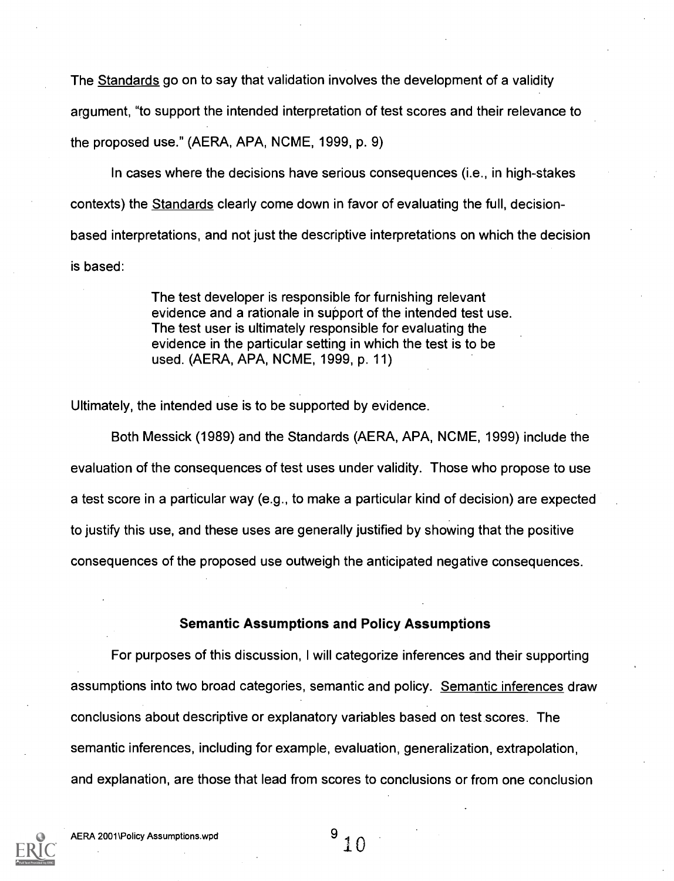The Standards go on to say that validation involves the development of a validity argument, "to support the intended interpretation of test scores and their relevance to the proposed use." (AERA, APA, NCME, 1999, p. 9)

In cases where the decisions have serious consequences (i.e., in high-stakes contexts) the Standards clearly come down in favor of evaluating the full, decisionbased interpretations, and not just the descriptive interpretations on which the decision is based:

> The test developer is responsible for furnishing relevant evidence and a rationale in support of the intended test use. The test user is ultimately responsible for evaluating the evidence in the particular setting in which the test is to be used. (AERA, APA, NCME, 1999, p. 11)

Ultimately, the intended use is to be supported by evidence.

Both Messick (1989) and the Standards (AERA, APA, NCME, 1999) include the evaluation of the consequences of test uses under validity. Those who propose to use a test score in a particular way (e.g., to make a particular kind of decision) are expected to justify this use, and these uses are generally justified by showing that the positive consequences of the proposed use outweigh the anticipated negative consequences.

#### Semantic Assumptions and Policy Assumptions

For purposes of this discussion, I will categorize inferences and their supporting assumptions into two broad categories, semantic and policy. Semantic inferences draw conclusions about descriptive or explanatory variables based on test scores. The semantic inferences, including for example, evaluation, generalization, extrapolation, and explanation, are those that lead from scores to conclusions or from one conclusion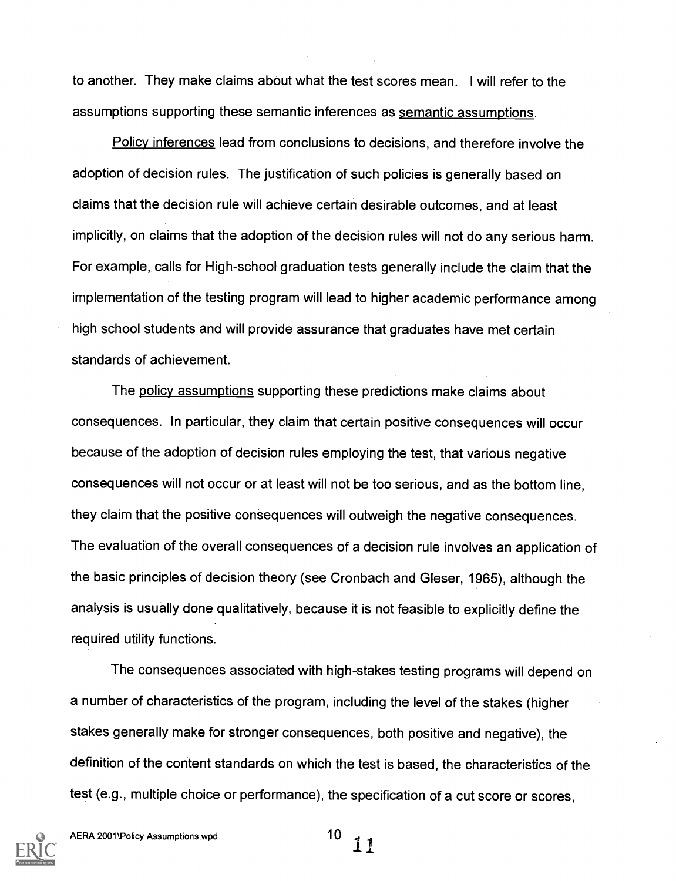to another. They make claims about what the test scores mean. I will refer to the assumptions supporting these semantic inferences as semantic assumptions.

Policy inferences lead from conclusions to decisions, and therefore involve the adoption of decision rules. The justification of such policies is generally based on claims that the decision rule will achieve certain desirable outcomes, and at least implicitly, on claims that the adoption of the decision rules will not do any serious harm. For example, calls for High-school graduation tests generally include the claim that the implementation of the testing program will lead to higher academic performance among high school students and will provide assurance that graduates have met certain standards of achievement.

The policy assumptions supporting these predictions make claims about consequences. In particular, they claim that certain positive consequences will occur because of the adoption of decision rules employing the test, that various negative consequences will not occur or at least will not be too serious, and as the bottom line, they claim that the positive consequences will outweigh the negative consequences. The evaluation of the overall consequences of a decision rule involves an application of the basic principles of decision theory (see Cronbach and Gleser, 1965), although the analysis is usually done qualitatively, because it is not feasible to explicitly define the required utility functions.

The consequences associated with high-stakes testing programs will depend on a number of characteristics of the program, including the level of the stakes (higher stakes generally make for stronger consequences, both positive and negative), the definition of the content standards on which the test is based, the characteristics of the test (e.g., multiple choice or performance), the specification of a cut score or scores,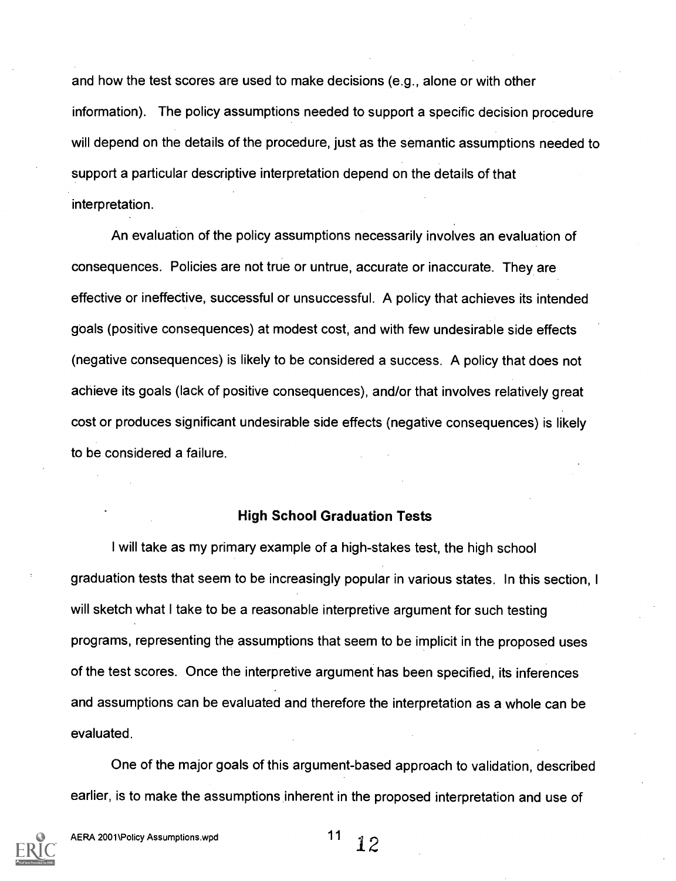and how the test scores are used to make decisions (e.g., alone or with other information). The policy assumptions needed to support a specific decision procedure will depend on the details of the procedure, just as the semantic assumptions needed to support a particular descriptive interpretation depend on the details of that interpretation.

An evaluation of the policy assumptions necessarily involves an evaluation of consequences. Policies are not true or untrue, accurate or inaccurate. They are effective or ineffective, successful or unsuccessful. A policy that achieves its intended goals (positive consequences) at modest cost, and with few undesirable side effects (negative consequences) is likely to be considered a success. A policy that does not achieve its goals (lack of positive consequences), and/or that involves relatively great cost or produces significant undesirable side effects (negative consequences) is likely to be considered a failure.

#### High School Graduation Tests

I will take as my primary example of a high-stakes test, the high school graduation tests that seem to be increasingly popular in various states. In this section, I will sketch what I take to be a reasonable interpretive argument for such testing programs, representing the assumptions that seem to be implicit in the proposed uses of the test scores. Once the interpretive argument has been specified, its inferences and assumptions can be evaluated and therefore the interpretation as a whole can be evaluated.

One of the major goals of this argument-based approach to validation, described earlier, is to make the assumptions inherent in the proposed interpretation and use of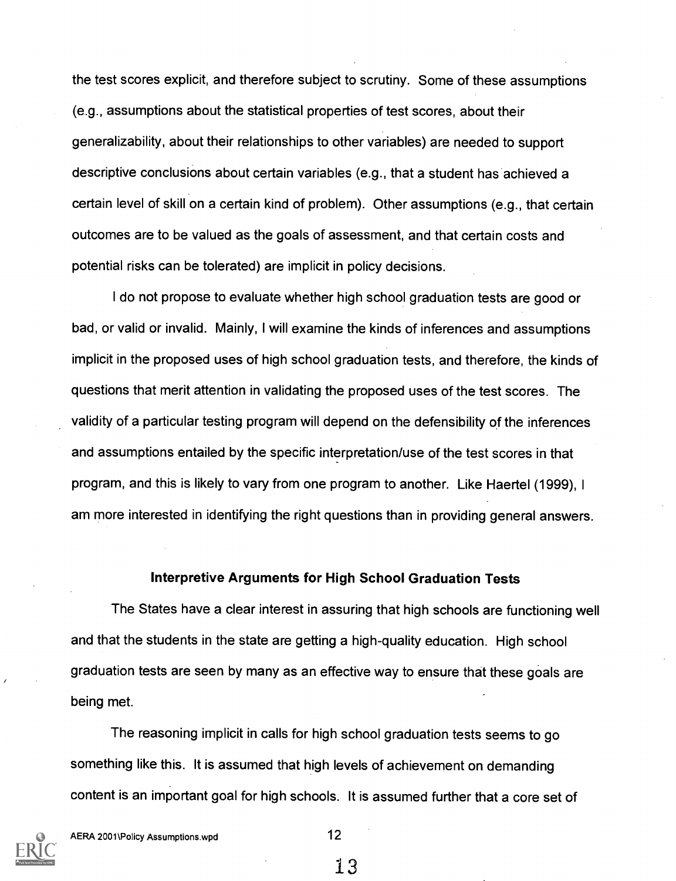the test scores explicit, and therefore subject to scrutiny. Some of these assumptions (e.g., assumptions about the statistical properties of test scores, about their generalizability, about their relationships to other variables) are needed to support descriptive conclusions about certain variables (e.g., that a student has achieved a certain level of skill on a certain kind of problem). Other assumptions (e.g., that certain outcomes are to be valued as the goals of assessment, and that certain costs and potential risks can be tolerated) are implicit in policy decisions.

I do not propose to evaluate whether high school graduation tests are good or bad, or valid or invalid. Mainly, I will examine the kinds of inferences and assumptions implicit in the proposed uses of high school graduation tests, and therefore, the kinds of questions that merit attention in validating the proposed uses of the test scores. The validity of a particular testing program will depend on the defensibility of the inferences and assumptions entailed by the specific interpretation/use of the test scores in that program, and this is likely to vary from one program to another. Like Haertel (1999), I am more interested in identifying the right questions than in providing general answers.

#### Interpretive Arguments for High School Graduation Tests

The States have a clear interest in assuring that high schools are functioning well and that the students in the state are getting a high-quality education. High school graduation tests are seen by many as an effective way to ensure that these goals are being met.

The reasoning implicit in calls for high school graduation tests seems to go something like this. It is assumed that high levels of achievement on demanding content is an important goal for high schools. It is assumed further that a core set of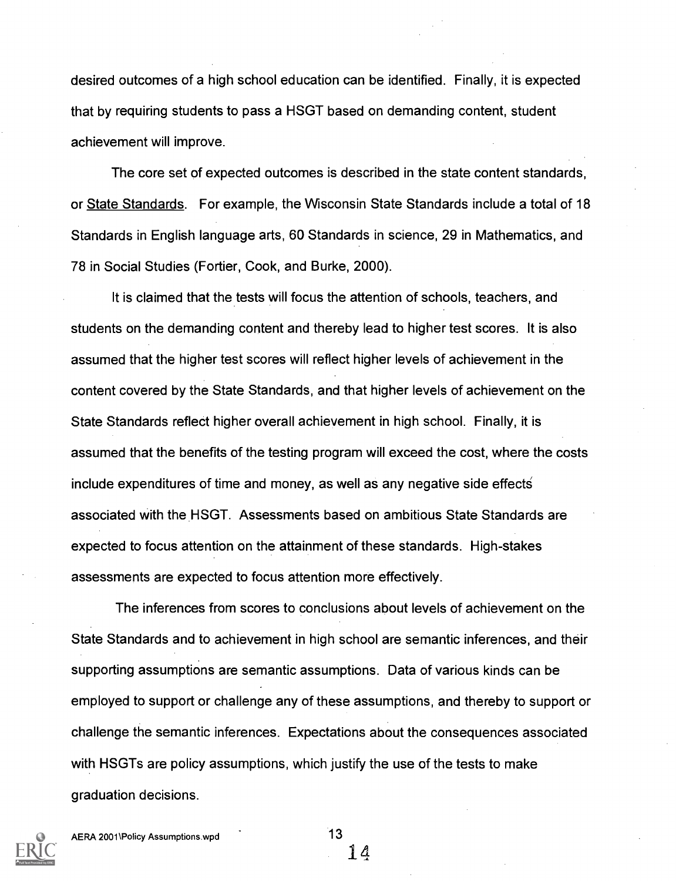desired outcomes of a high school education can be identified. Finally, it is expected that by requiring students to pass a HSGT based on demanding content, student achievement will improve.

The core set of expected outcomes is described in the state content standards, or State Standards. For example, the Wisconsin State Standards include a total of 18 Standards in English language arts, 60 Standards in science, 29 in Mathematics, and 78 in Social Studies (Fortier, Cook, and Burke, 2000).

It is claimed that the tests will focus the attention of schools, teachers, and students on the demanding content and thereby lead to higher test scores. It is also assumed that the higher test scores will reflect higher levels of achievement in the content covered by the State Standards, and that higher levels of achievement on the State Standards reflect higher overall achievement in high school. Finally, it is assumed that the benefits of the testing program will exceed the cost, where the costs include expenditures of time and money, as well as any negative side effect associated with the HSGT. Assessments based on ambitious State Standards are expected to focus attention on the attainment of these standards. High-stakes assessments are expected to focus attention more effectively.

The inferences from scores to conclusions about levels of achievement on the State Standards and to achievement in high school are semantic inferences, and their supporting assumptions are semantic assumptions. Data of various kinds can be employed to support or challenge any of these assumptions, and thereby to support or challenge the semantic inferences. Expectations about the consequences associated with HSGTs are policy assumptions, which justify the use of the tests to make graduation decisions.

AERA 2001\Policy Assumptions.wpd 13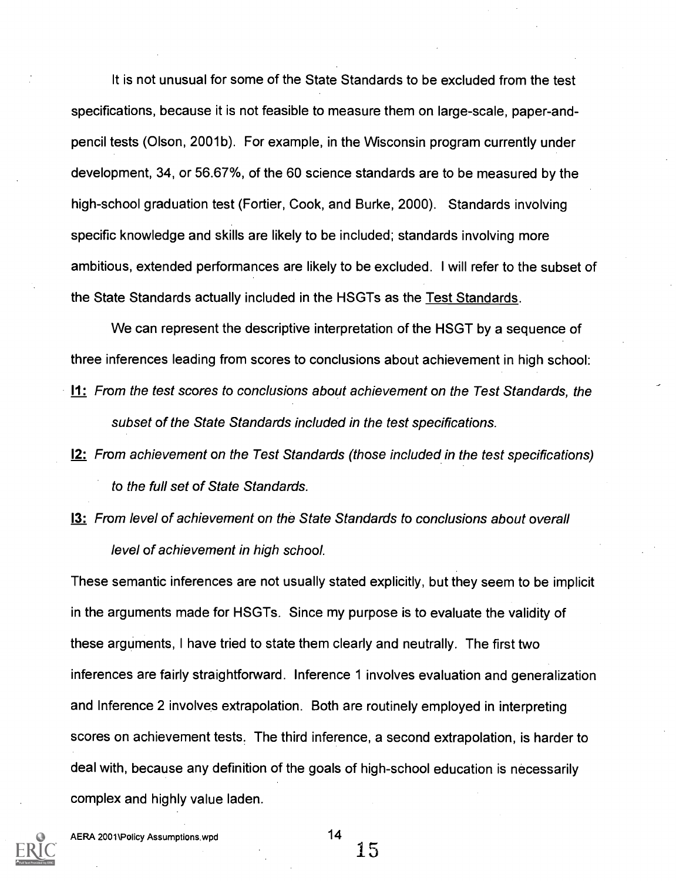It is not unusual for some of the State Standards to be excluded from the test specifications, because it is not feasible to measure them on large-scale, paper-andpencil tests (Olson, 2001b). For example, in the Wisconsin program currently under development, 34, or 56.67%, of the 60 science standards are to be measured by the high-school graduation test (Fortier, Cook, and Burke, 2000). Standards involving specific knowledge and skills are likely to be included; standards involving more ambitious, extended performances are likely to be excluded. I will refer to the subset of the State Standards actually included in the HSGTs as the Test Standards.

We can represent the descriptive interpretation of the HSGT by a sequence of three inferences leading from scores to conclusions about achievement in high school: 11: From the test scores to conclusions about achievement on the Test Standards, the subset of the State Standards included in the test specifications.

- 12: From achievement on the Test Standards (those included in the test specifications) to the full set of State Standards.
- 13: From level of achievement on the State Standards to conclusions about overall level of achievement in high school.

These semantic inferences are not usually stated explicitly, but they seem to be implicit in the arguments made for HSGTs. Since my purpose is to evaluate the validity of these arguments, I have tried to state them clearly and neutrally. The first two inferences are fairly straightforward. Inference 1 involves evaluation and generalization and Inference 2 involves extrapolation. Both are routinely employed in interpreting scores on achievement tests. The third inference, a second extrapolation, is harder to deal with, because any definition of the goals of high-school education is necessarily complex and highly value laden.

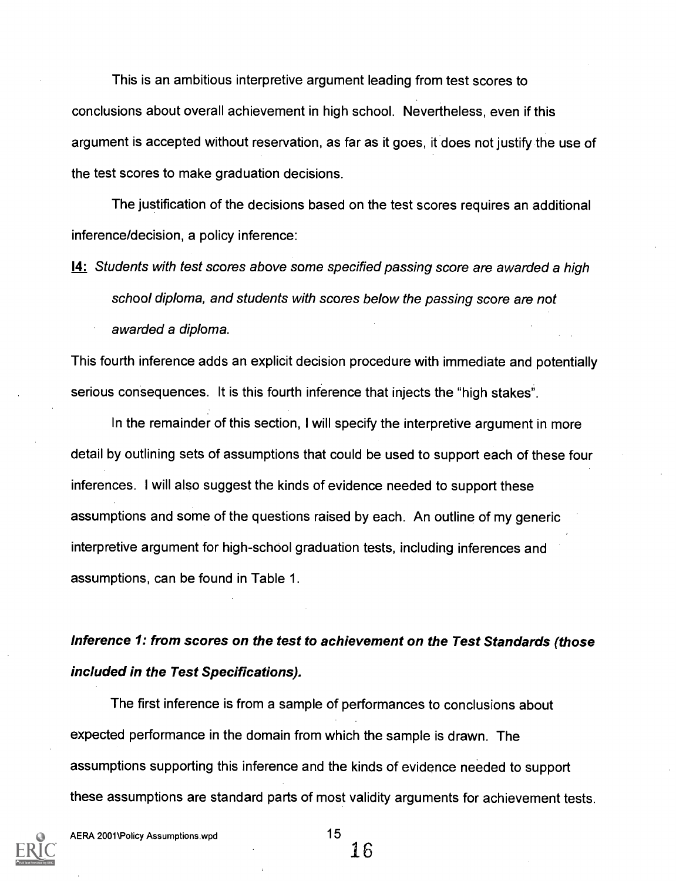This is an ambitious interpretive argument leading from test scores to conclusions about overall achievement in high school. Nevertheless, even if this argument is accepted without reservation, as far as it goes, it does not justify the use of the test scores to make graduation decisions.

The justification of the decisions based on the test scores requires an additional inference/decision, a policy inference:

14: Students with test scores above some specified passing score are awarded a high school diploma, and students with scores below the passing score are not awarded a diploma.

This fourth inference adds an explicit decision procedure with immediate and potentially serious consequences. It is this fourth inference that injects the "high stakes".

In the remainder of this section, I will specify the interpretive argument in more detail by outlining sets of assumptions that could be used to support each of these four inferences. I will also suggest the kinds of evidence needed to support these assumptions and some of the questions raised by each. An outline of my generic interpretive argument for high-school graduation tests, including inferences and assumptions, can be found in Table 1.

### Inference 1: from scores on the test to achievement on the Test Standards (those included in the Test Specifications).

The first inference is from a sample of performances to conclusions about expected performance in the domain from which the sample is drawn. The assumptions supporting this inference and the kinds of evidence needed to support these assumptions are standard parts of most validity arguments for achievement tests.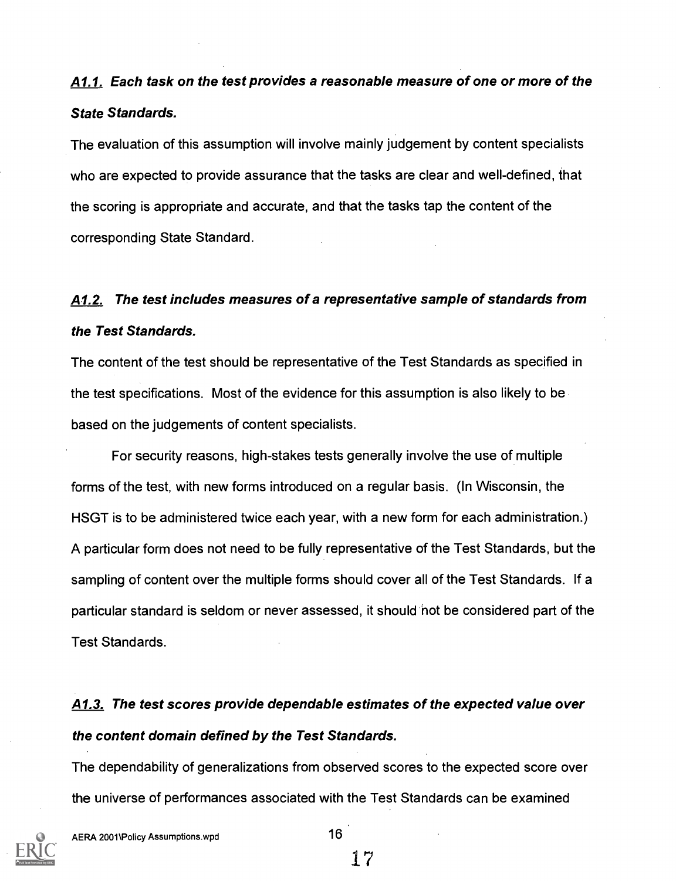## A1.1. Each task on the test provides a reasonable measure of one or more of the State Standards.

The evaluation of this assumption will involve mainly judgement by content specialists who are expected to provide assurance that the tasks are clear and well-defined, that the scoring is appropriate and accurate, and that the tasks tap the content of the corresponding State Standard.

## A1.2. The test includes measures of a representative sample of standards from the Test Standards.

The content of the test should be representative of the Test Standards as specified in the test specifications. Most of the evidence for this assumption is also likely to be based on the judgements of content specialists.

For security reasons, high-stakes tests generally involve the use of multiple forms of the test, with new forms introduced on a regular basis. (In Wisconsin, the HSGT is to be administered twice each year, with a new form for each administration.) A particular form does not need to be fully representative of the Test Standards, but the sampling of content over the multiple forms should cover all of the Test Standards. If a particular standard is seldom or never assessed, it should not be considered part of the Test Standards.

# A1.3. The test scores provide dependable estimates of the expected value over the content domain defined by the Test Standards.

The dependability of generalizations from observed scores to the expected score over the universe of performances associated with the Test Standards can be examined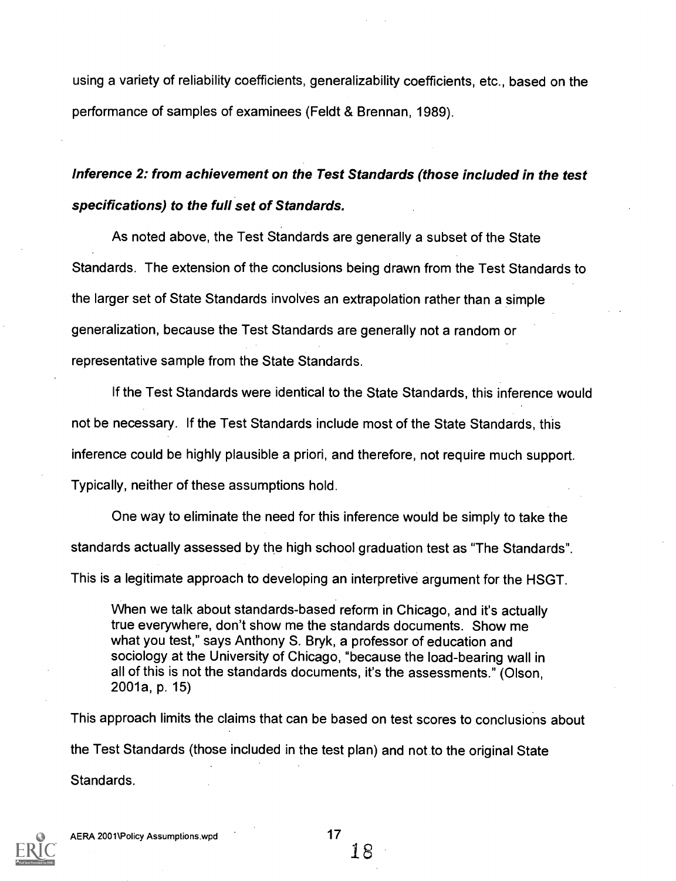using a variety of reliability coefficients, generalizability coefficients, etc., based on the performance of samples of examinees (Feldt & Brennan, 1989).

### Inference 2: from achievement on the Test Standards (those included in the test specifications) to the full set of Standards.

As noted above, the Test Standards are generally a subset of the State Standards. The extension of the conclusions being drawn from the Test Standards to the larger set of State Standards involves an extrapolation rather than a simple generalization, because the Test Standards are generally not a random or representative sample from the State Standards.

If the Test Standards were identical to the State Standards, this inference would not be necessary. If the Test Standards include most of the State Standards, this inference could be highly plausible a priori, and therefore, not require much support. Typically, neither of these assumptions hold.

One way to eliminate the need for this inference would be simply to take the standards actually assessed by the high school graduation test as "The Standards". This is a legitimate approach to developing an interpretive argument for the HSGT.

When we talk about standards-based reform in Chicago, and it's actually true everywhere, don't show me the standards documents. Show me what you test," says Anthony S. Bryk, a professor of education and sociology at the University of Chicago, "because the load-bearing wall in all of this is not the standards documents, it's the assessments." (Olson, 2001a, p. 15)

This approach limits the claims that can be based on test scores to conclusions about the Test Standards (those included in the test plan) and not to the original State Standards.

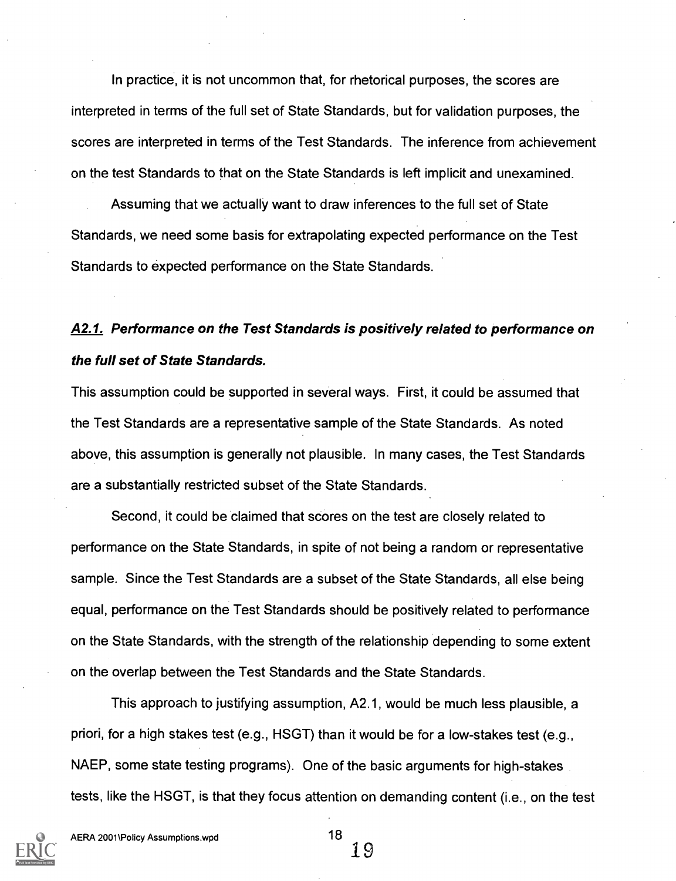In practice, it is not uncommon that, for rhetorical purposes, the scores are interpreted in terms of the full set of State Standards, but for validation purposes, the scores are interpreted in terms of the Test Standards. The inference from achievement on the test Standards to that on the State Standards is left implicit and unexamined.

Assuming that we actually want to draw inferences to the full set of State Standards, we need some basis for extrapolating expected performance on the Test Standards to expected performance on the State Standards.

### A2.1. Performance on the Test Standards is positively related to performance on the full set of State Standards.

This assumption could be supported in several ways. First, it could be assumed that the Test Standards are a representative sample of the State Standards. As noted above, this assumption is generally not plausible. In many cases, the Test Standards are a substantially restricted subset of the State Standards.

Second, it could be claimed that scores on the test are closely related to performance on the State Standards, in spite of not being a random or representative sample. Since the Test Standards are a subset of the State Standards, all else being equal, performance on the Test Standards should be positively related to performance on the State Standards, with the strength of the relationship depending to some extent on the overlap between the Test Standards and the State Standards.

This approach to justifying assumption, A2.1, would be much less plausible, a priori, for a high stakes test (e.g., HSGT) than it would be for a low-stakes test (e.g., NAEP, some state testing programs). One of the basic arguments for high-stakes tests, like the HSGT, is that they focus attention on demanding content (i.e., on the test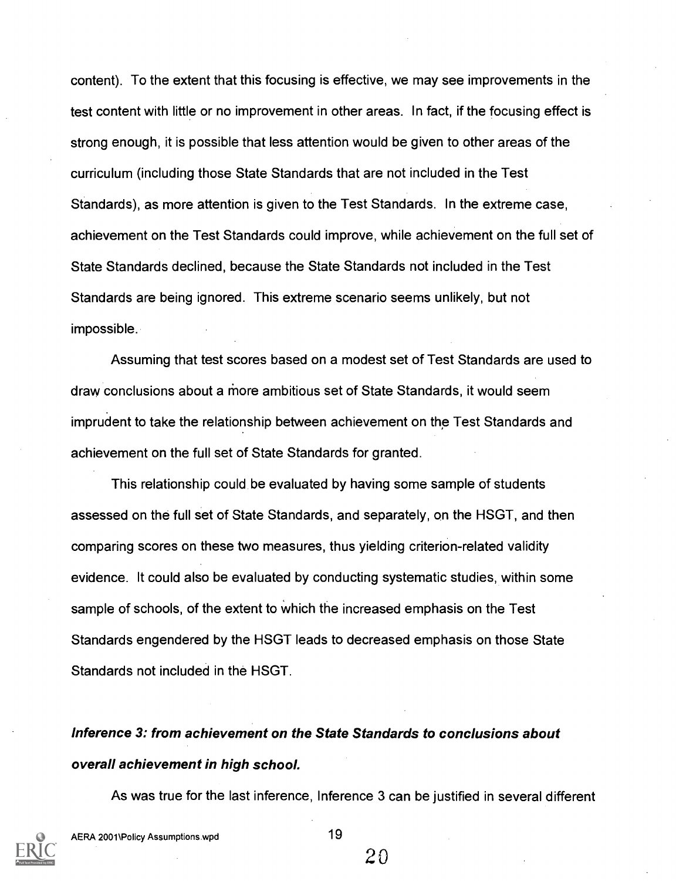content). To the extent that this focusing is effective, we may see improvements in the test content with little or no improvement in other areas. In fact, if the focusing effect is strong enough, it is possible that less attention would be given to other areas of the curriculum (including those State Standards that are not included in the Test Standards), as more attention is given to the Test Standards. In the extreme case, achievement on the Test Standards could improve, while achievement on the full set of State Standards declined, because the State Standards not included in the Test Standards are being ignored. This extreme scenario seems unlikely, but not impossible.

Assuming that test scores based on a modest set of Test Standards are used to draw conclusions about a more ambitious set of State Standards, it would seem imprudent to take the relationship between achievement on the Test Standards and achievement on the full set of State Standards for granted.

This relationship could be evaluated by having some sample of students assessed on the full set of State Standards, and separately, on the HSGT, and then comparing scores on these two measures, thus yielding criterion-related validity evidence. It could also be evaluated by conducting systematic studies, within some sample of schools, of the extent to which the increased emphasis on the Test Standards engendered by the HSGT leads to decreased emphasis on those State Standards not included in the HSGT.

## Inference 3: from achievement on the State Standards to conclusions about overall achievement in high school.

As was true for the last inference, Inference 3 can be justified in several different

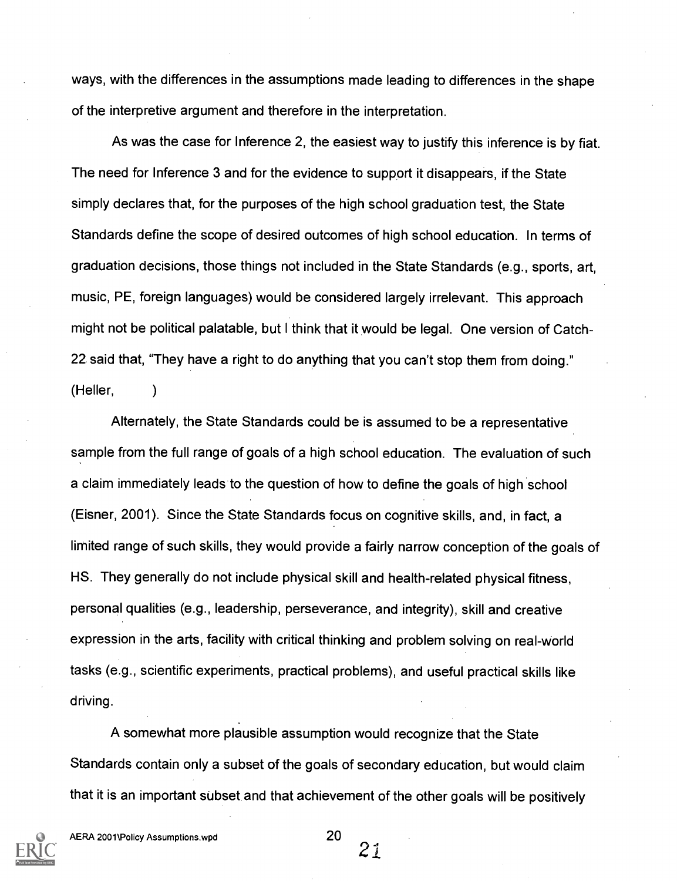ways, with the differences in the assumptions made leading to differences in the shape of the interpretive argument and therefore in the interpretation.

As was the case for Inference 2, the easiest way to justify this inference is by fiat. The need for Inference 3 and for the evidence to support it disappears, if the State simply declares that, for the purposes of the high school graduation test, the State Standards define the scope of desired outcomes of high school education. In terms of graduation decisions, those things not included in the State Standards (e.g., sports, art, music, PE, foreign languages) would be considered largely irrelevant. This approach might not be political palatable, but I think that it would be legal. One version of Catch-22 said that, "They have a right to do anything that you can't stop them from doing." (Heller,  $\lambda$ 

Alternately, the State Standards could be is assumed to be a representative sample from the full range of goals of a high school education. The evaluation of such a claim immediately leads to the question of how to define the goals of high school (Eisner, 2001). Since the State Standards focus on cognitive skills, and, in fact, a limited range of such skills, they would provide a fairly narrow conception of the goals of HS. They generally do not include physical skill and health-related physical fitness, personal qualities (e.g., leadership, perseverance, and integrity), skill and creative expression in the arts, facility with critical thinking and problem solving on real-world tasks (e.g., scientific experiments, practical problems), and useful practical skills like driving.

A somewhat more plausible assumption would recognize that the State Standards contain only a subset of the goals of secondary education, but would claim that it is an important subset and that achievement of the other goals will be positively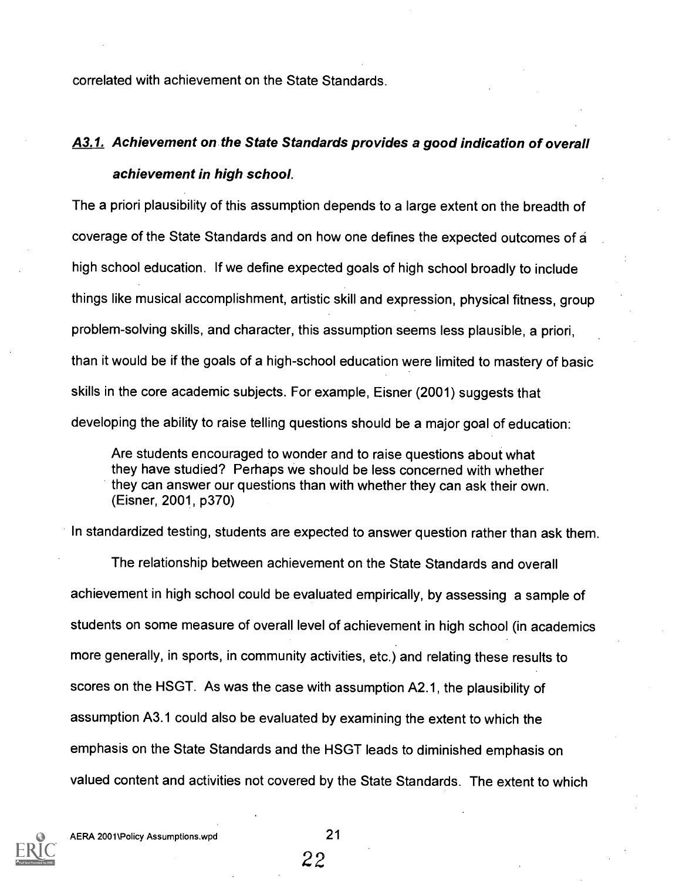correlated with achievement on the State Standards.

### A3.1. Achievement on the State Standards provides a good indication of overall achievement in high school.

The a priori plausibility of this assumption depends to a large extent on the breadth of coverage of the State Standards and on how one defines the expected outcomes of a high school education. If we define expected goals of high school broadly to include things like musical accomplishment, artistic skill and expression, physical fitness, group problem-solving skills, and character, this assumption seems less plausible, a priori, than it would be if the goals of a high-school education were limited to mastery of basic skills in the core academic subjects. For example, Eisner (2001) suggests that developing the ability to raise telling questions should be a major goal of education:

Are students encouraged to wonder and to raise questions about what they have studied? Perhaps we should be less concerned with whether they can answer our questions than with whether they can ask their own. (Eisner, 2001, p370)

In standardized testing, students are expected to answer question rather than ask them.

The relationship between achievement on the State Standards and overall achievement in high school could be evaluated empirically, by assessing a sample of students on some measure of overall level of achievement in high school (in academics more generally, in sports, in community activities, etc.) and relating these results to scores on the HSGT. As was the case with assumption A2.1, the plausibility of assumption A3.1 could also be evaluated by examining the extent to which the emphasis on the State Standards and the HSGT leads to diminished emphasis on valued content and activities not covered by the State Standards. The extent to which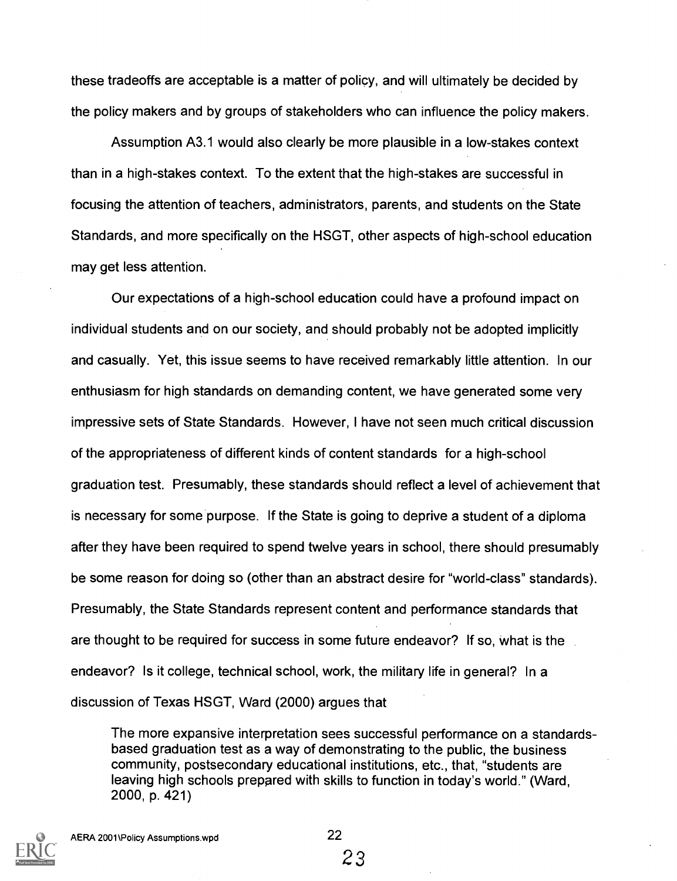these tradeoffs are acceptable is a matter of policy, and will ultimately be decided by the policy makers and by groups of stakeholders who can influence the policy makers.

Assumption A3.1 would also clearly be more plausible in a low-stakes context than in a high-stakes context. To the extent that the high-stakes are successful in focusing the attention of teachers, administrators, parents, and students on the State Standards, and more specifically on the HSGT, other aspects of high-school education may get less attention.

Our expectations of a high-school education could have a profound impact on individual students and on our society, and should probably not be adopted implicitly and casually. Yet, this issue seems to have received remarkably little attention. In our enthusiasm for high standards on demanding content, we have generated some very impressive sets of State Standards. However, I have not seen much critical discussion of the appropriateness of different kinds of content standards for a high-school graduation test. Presumably, these standards should reflect a level of achievement that is necessary for some purpose. If the State is going to deprive a student of a diploma after they have been required to spend twelve years in school, there should presumably be some reason for doing so (other than an abstract desire for "world-class" standards). Presumably, the State Standards represent content and performance standards that are thought to be required for success in some future endeavor? If so, what is the endeavor? Is it college, technical school, work, the military life in general? In a discussion of Texas HSGT, Ward (2000) argues that

The more expansive interpretation sees successful performance on a standardsbased graduation test as a way of demonstrating to the public, the business community, postsecondary educational institutions, etc., that, "students are leaving high schools prepared with skills to function in today's world." (Ward, 2000, p. 421)

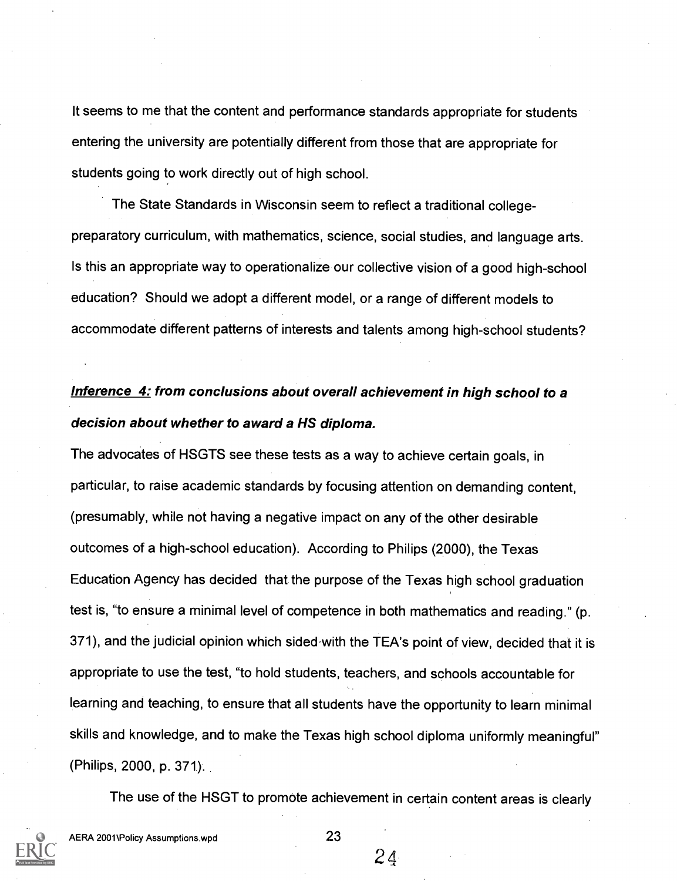It seems to me that the content and performance standards appropriate for students entering the university are potentially different from those that are appropriate for students going to work directly out of high school.

The State Standards in Wisconsin seem to reflect a traditional collegepreparatory curriculum, with mathematics, science, social studies, and language arts. Is this an appropriate way to operationalize our collective vision of a good high-school education? Should we adopt a different model, or a range of different models to accommodate different patterns of interests and talents among high-school students?

### Inference 4: from conclusions about overall achievement in high school to a decision about whether to award a HS diploma.

The advocates of HSGTS see these tests as a way to achieve certain goals, in particular, to raise academic standards by focusing attention on demanding content, (presumably, while not having a negative impact on any of the other desirable outcomes of a high-school education). According to Philips (2000), the Texas Education Agency has decided that the purpose of the Texas high school graduation test is, "to ensure a minimal level of competence in both mathematics and reading." (p. 371), and the judicial opinion which sided-with the TEA's point of view, decided that it is appropriate to use the test, "to hold students, teachers, and schools accountable for learning and teaching, to ensure that all students have the opportunity to learn minimal skills and knowledge, and to make the Texas high school diploma uniformly meaningful" (Philips, 2000, p. 371).

The use of the HSGT to promote achievement in certain content areas is clearly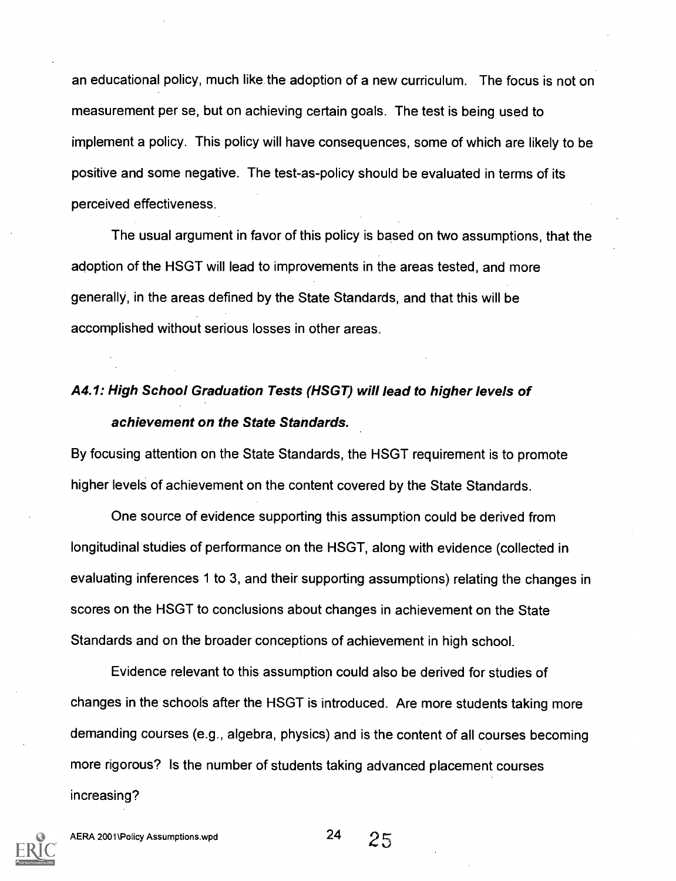an educational policy, much like the adoption of a new curriculum. The focus is not on measurement per se, but on achieving certain goals. The test is being used to implement a policy. This policy will have consequences, some of which are likely to be positive and some negative. The test-as-policy should be evaluated in terms of its perceived effectiveness.

The usual argument in favor of this policy is based on two assumptions, that the adoption of the HSGT will lead to improvements in the areas tested, and more generally, in the areas defined by the State Standards, and that this will be accomplished without serious losses in other areas.

### A4.1: High School Graduation Tests (HSGT) will lead to higher levels of achievement on the State Standards.

By focusing attention on the State Standards, the HSGT requirement is to promote higher levels of achievement on the content covered by the State Standards.

One source of evidence supporting this assumption could be derived from longitudinal studies of performance on the HSGT, along with evidence (collected in evaluating inferences 1 to 3, and their supporting assumptions) relating the changes in scores on the HSGT to conclusions about changes in achievement on the State Standards and on the broader conceptions of achievement in high school.

Evidence relevant to this assumption could also be derived for studies of changes in the schools after the HSGT is introduced. Are more students taking more demanding courses (e.g., algebra, physics) and is the content of all courses becoming more rigorous? Is the number of students taking advanced placement courses increasing?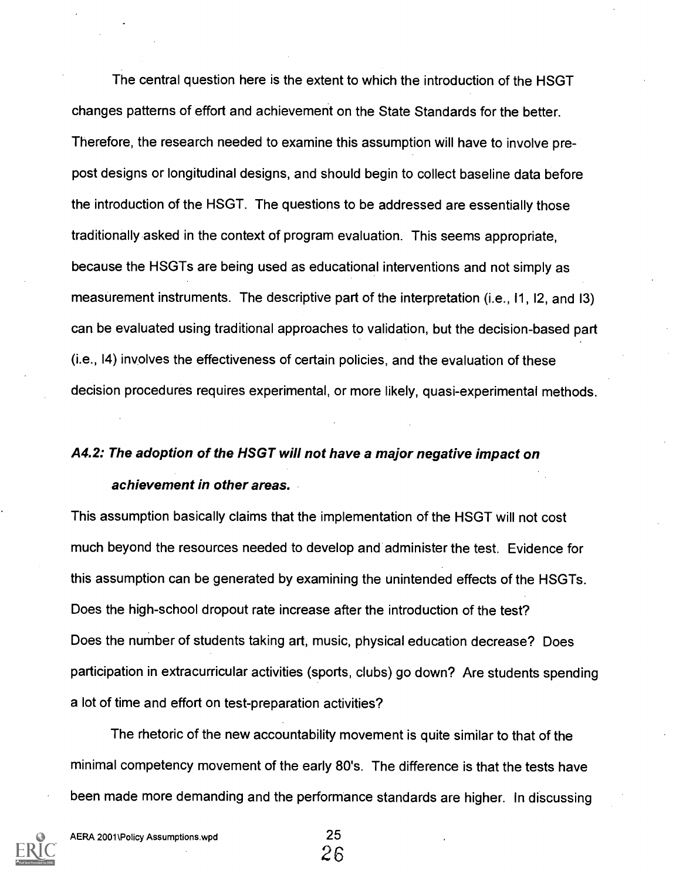The central question here is the extent to which the introduction of the HSGT changes patterns of effort and achievement on the State Standards for the better. Therefore, the research needed to examine this assumption will have to involve prepost designs or longitudinal designs, and should begin to collect baseline data before the introduction of the HSGT. The questions to be addressed are essentially those traditionally asked in the context of program evaluation. This seems appropriate, because the HSGTs are being used as educational interventions and not simply as measurement instruments. The descriptive part of the interpretation (i.e., 11, 12, and 13) can be evaluated using traditional approaches to validation, but the decision-based part (i.e., 14) involves the effectiveness of certain policies, and the evaluation of these decision procedures requires experimental, or more likely, quasi-experimental methods.

## A4.2: The adoption of the HSGT will not have a major negative impact on achievement in other areas.

This assumption basically claims that the implementation of the HSGT will not cost much beyond the resources needed to develop and administer the test. Evidence for this assumption can be generated by examining the unintended effects of the HSGTs. Does the high-school dropout rate increase after the introduction of the test? Does the number of students taking art, music, physical education decrease? Does participation in extracurricular activities (sports, clubs) go down? Are students spending a lot of time and effort on test-preparation activities?

The rhetoric of the new accountability movement is quite similar to that of the minimal competency movement of the early 80's. The difference is that the tests have been made more demanding and the performance standards are higher. In discussing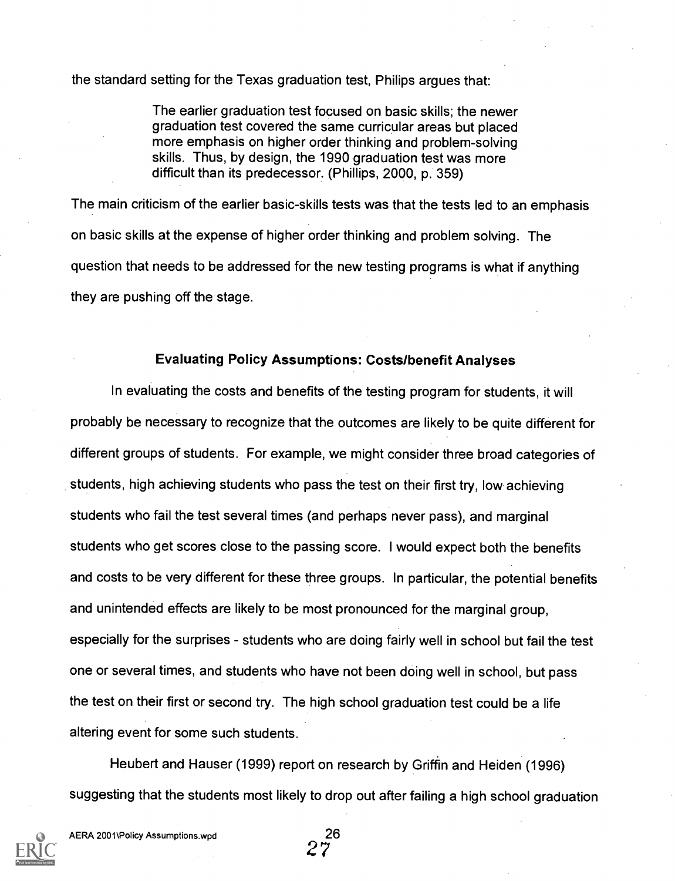the standard setting for the Texas graduation test, Philips argues that:

The earlier graduation test focused on basic skills; the newer graduation test covered the same curricular areas but placed more emphasis on higher order thinking and problem-solving skills. Thus, by design, the 1990 graduation test was more difficult than its predecessor. (Phillips, 2000, p. 359)

The main criticism of the earlier basic-skills tests was that the tests led to an emphasis on basic skills at the expense of higher order thinking and problem solving. The question that needs to be addressed for the new testing programs is what if anything they are pushing off the stage.

#### Evaluating Policy Assumptions: Costs/benefit Analyses

In evaluating the costs and benefits of the testing program for students, it will probably be necessary to recognize that the outcomes are likely to be quite different for different groups of students. For example, we might consider three broad categories of students, high achieving students who pass the test on their first try, low achieving students who fail the test several times (and perhaps never pass), and marginal students who get scores close to the passing score. I would expect both the benefits and costs to be very different for these three groups. In particular, the potential benefits and unintended effects are likely to be most pronounced for the marginal group, especially for the surprises - students who are doing fairly well in school but fail the test one or several times, and students who have not been doing well in school, but pass the test on their first or second try. The high school graduation test could be a life altering event for some such students.

Heubert and Hauser (1999) report on research by Griffin and Heiden (1996) suggesting that the students most likely to drop out after failing a high school graduation

 $2^{26}$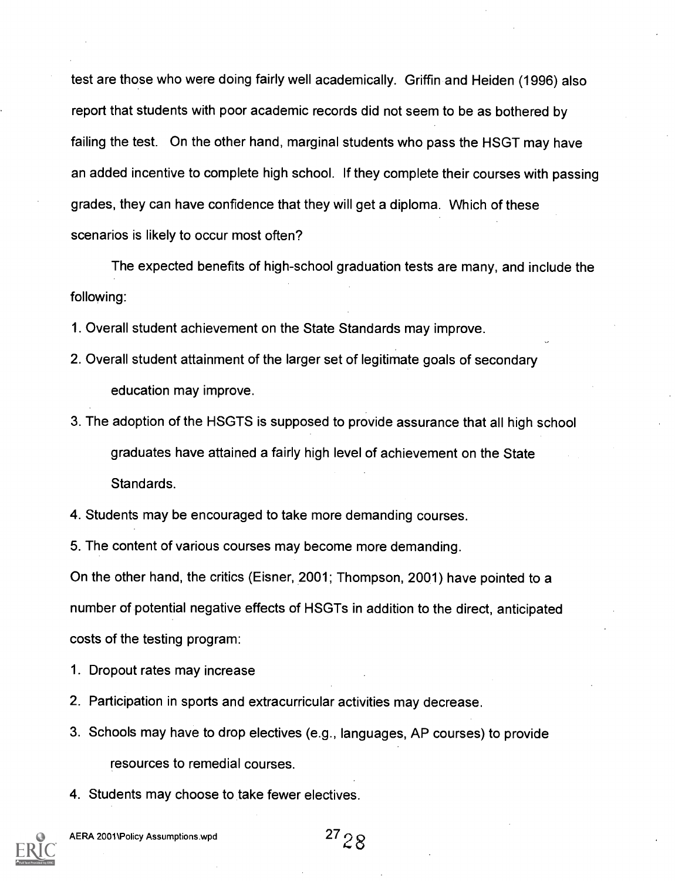test are those who were doing fairly well academically. Griffin and Heiden (1996) also report that students with poor academic records did not seem to be as bothered by failing the test. On the other hand, marginal students who pass the HSGT may have an added incentive to complete high school. If they complete their courses with passing grades, they can have confidence that they will get a diploma. Which of these scenarios is likely to occur most often?

The expected benefits of high-school graduation tests are many, and include the following:

1. Overall student achievement on the State Standards may improve.

- 2. Overall student attainment of the larger set of legitimate goals of secondary education may improve.
- 3. The adoption of the HSGTS is supposed to provide assurance that all high school graduates have attained a fairly high level of achievement on the State Standards.

4. Students may be encouraged to take more demanding courses.

5. The content of various courses may become more demanding.

On the other hand, the critics (Eisner, 2001; Thompson, 2001) have pointed to a number of potential negative effects of HSGTs in addition to the direct, anticipated costs of the testing program:

1. Dropout rates may increase

- 2. Participation in sports and extracurricular activities may decrease.
- 3. Schools may have to drop electives (e.g., languages, AP courses) to provide resources to remedial courses.
- 4. Students may choose to take fewer electives.

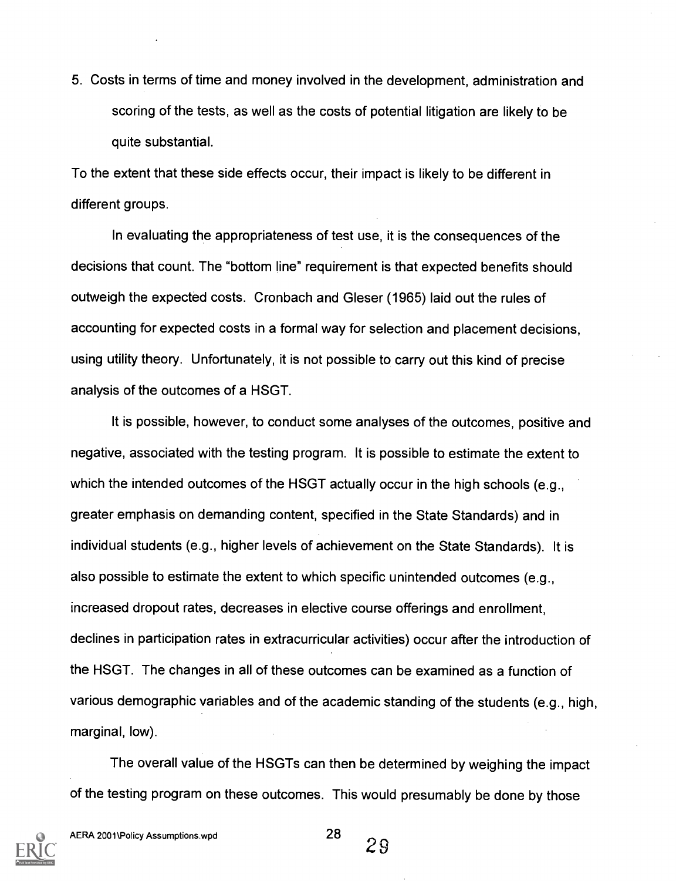5. Costs in terms of time and money involved in the development, administration and scoring of the tests, as well as the costs of potential litigation are likely to be quite substantial.

To the extent that these side effects occur, their impact is likely to be different in different groups.

In evaluating the appropriateness of test use, it is the consequences of the decisions that count. The "bottom line" requirement is that expected benefits should outweigh the expected costs. Cronbach and Gleser (1965) laid out the rules of accounting for expected costs in a formal way for selection and placement decisions, using utility theory. Unfortunately, it is not possible to carry out this kind of precise analysis of the outcomes of a HSGT.

It is possible, however, to conduct some analyses of the outcomes, positive and negative, associated with the testing program. It is possible to estimate the extent to which the intended outcomes of the HSGT actually occur in the high schools (e.g., greater emphasis on demanding content, specified in the State Standards) and in individual students (e.g., higher levels of achievement on the State Standards). It is also possible to estimate the extent to which specific unintended outcomes (e.g., increased dropout rates, decreases in elective course offerings and enrollment, declines in participation rates in extracurricular activities) occur after the introduction of the HSGT. The changes in all of these outcomes can be examined as a function of various demographic variables and of the academic standing of the students (e.g., high, marginal, low).

The overall value of the HSGTs can then be determined by weighing the impact of the testing program on these outcomes. This would presumably be done by those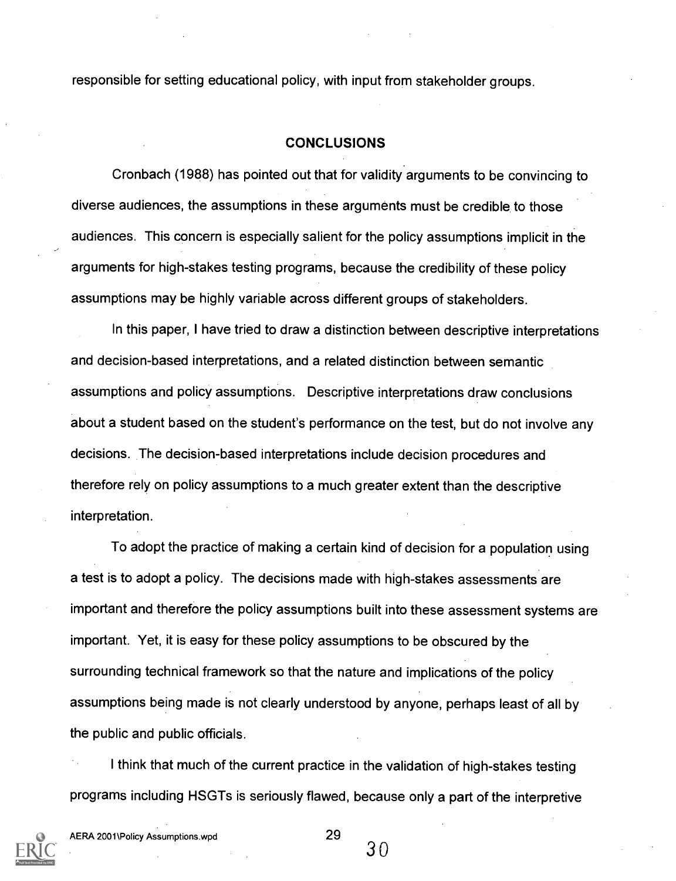responsible for setting educational policy, with input from stakeholder groups.

#### **CONCLUSIONS**

Cronbach (1988) has pointed out that for validity arguments to be convincing to diverse audiences, the assumptions in these arguments must be credible to those audiences. This concern is especially salient for the policy assumptions implicit in the arguments for high-stakes testing programs, because the credibility of these policy assumptions may be highly variable across different groups of stakeholders.

In this paper, I have tried to draw a distinction between descriptive interpretations and decision-based interpretations, and a related distinction between semantic assumptions and policy assumptions. Descriptive interpretations draw conclusions about a student based on the student's performance on the test, but do not involve any decisions. The decision-based interpretations include decision procedures and therefore rely on policy assumptions to a much greater extent than the descriptive interpretation.

To adopt the practice of making a certain kind of decision for a population using a test is to adopt a policy. The decisions made with high-stakes assessments are important and therefore the policy assumptions built into these assessment systems are important. Yet, it is easy for these policy assumptions to be obscured by the surrounding technical framework so that the nature and implications of the policy assumptions being made is not clearly understood by anyone, perhaps least of all by the public and public officials.

I think that much of the current practice in the validation of high-stakes testing programs including HSGTs is seriously flawed, because only a part of the interpretive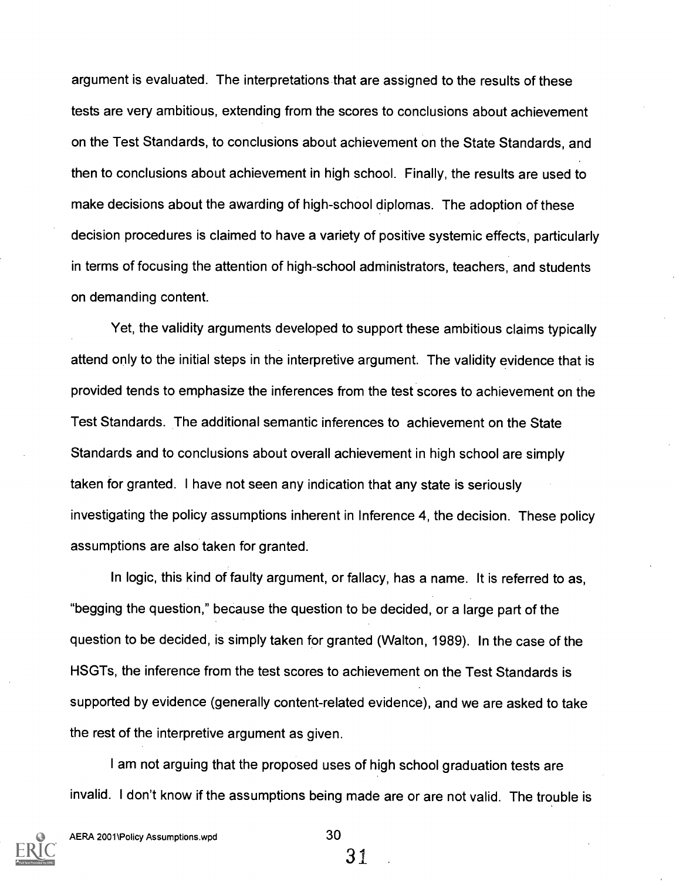argument is evaluated. The interpretations that are assigned to the results of these tests are very ambitious, extending from the scores to conclusions about achievement on the Test Standards, to conclusions about achievement on the State Standards, and then to conclusions about achievement in high school. Finally, the results are used to make decisions about the awarding of high-school diplomas. The adoption of these decision procedures is claimed to have a variety of positive systemic effects, particularly in terms of focusing the attention of high-school administrators, teachers, and students on demanding content.

Yet, the validity arguments developed to support these ambitious claims typically attend only to the initial steps in the interpretive argument. The validity evidence that is provided tends to emphasize the inferences from the test scores to achievement on the Test Standards. The additional semantic inferences to achievement on the State Standards and to conclusions about overall achievement in high school are simply taken for granted. I have not seen any indication that any state is seriously investigating the policy assumptions inherent in Inference 4, the decision. These policy assumptions are also taken for granted.

In logic, this kind of faulty argument, or fallacy, has a name. It is referred to as, "begging the question," because the question to be decided, or a large part of the question to be decided, is simply taken for granted (Walton, 1989). In the case of the HSGTs, the inference from the test scores to achievement on the Test Standards is supported by evidence (generally content-related evidence), and we are asked to take the rest of the interpretive argument as given.

I am not arguing that the proposed uses of high school graduation tests are invalid. I don't know if the assumptions being made are or are not valid. The trouble is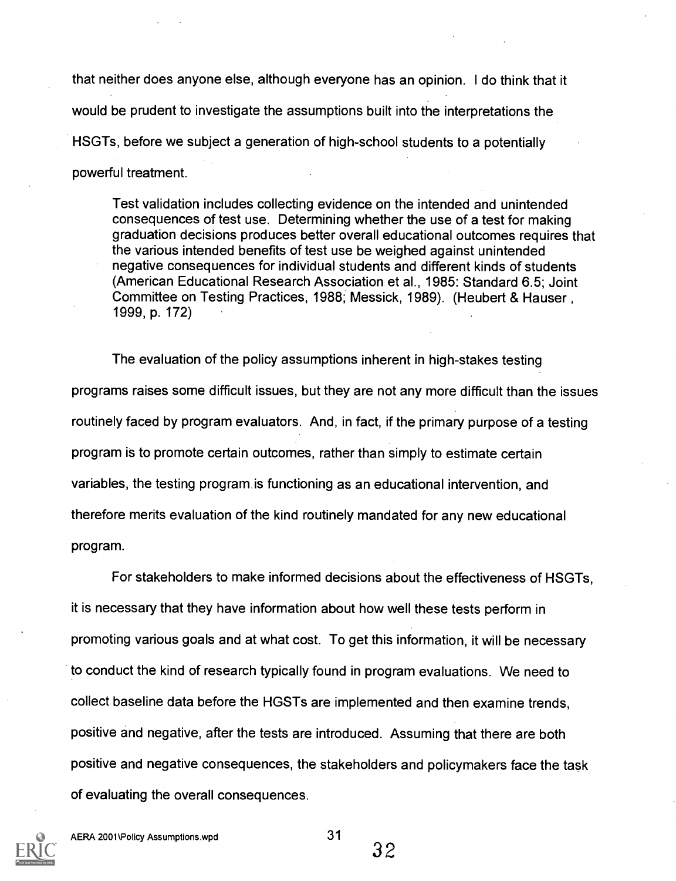that neither does anyone else, although everyone has an opinion. I do think that it would be prudent to investigate the assumptions built into the interpretations the HSGTs, before we subject a generation of high-school students to a potentially powerful treatment.

Test validation includes collecting evidence on the intended and unintended consequences of test use. Determining whether the use of a test for making graduation decisions produces better overall educational outcomes requires that the various intended benefits of test use be weighed against unintended negative consequences for individual students and different kinds of students (American Educational Research Association et al., 1985: Standard 6.5; Joint Committee on Testing Practices, 1988; Messick, 1989). (Heubert & Hauser , 1999, p. 172)

The evaluation of the policy assumptions inherent in high-stakes testing programs raises some difficult issues, but they are not any more difficult than the issues routinely faced by program evaluators. And, in fact, if the primary purpose of a testing program is to promote certain outcomes, rather than simply to estimate certain variables, the testing program is functioning as an educational intervention, and therefore merits evaluation of the kind routinely mandated for any new educational program.

For stakeholders to make informed decisions about the effectiveness of HSGTs, it is necessary that they have information about how well these tests perform in promoting various goals and at what cost. To get this information, it will be necessary to conduct the kind of research typically found in program evaluations. We need to collect baseline data before the HGSTs are implemented and then examine trends, positive and negative, after the tests are introduced. Assuming that there are both positive and negative consequences, the stakeholders and policymakers face the task of evaluating the overall consequences.

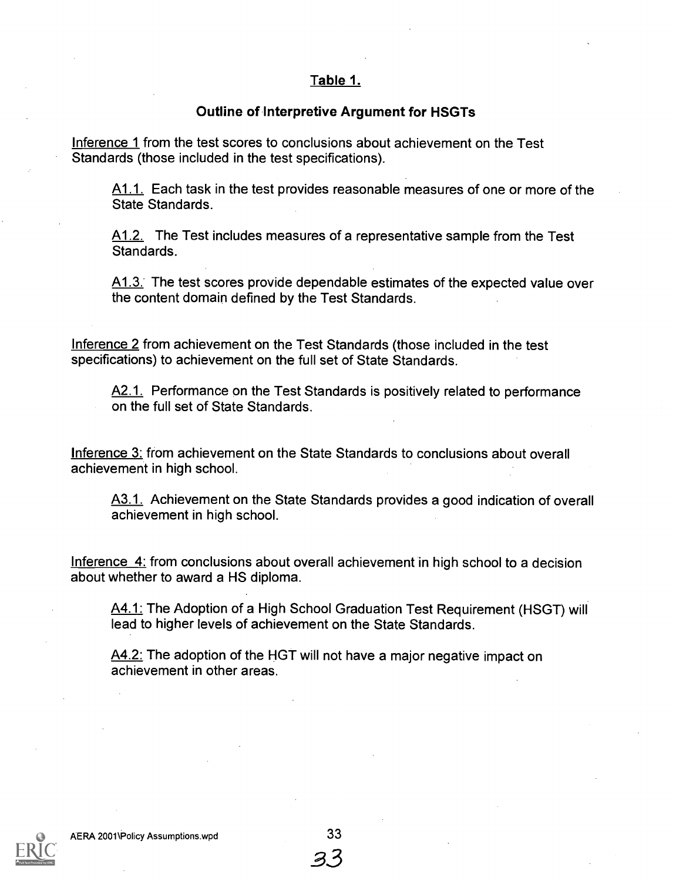### Table 1.

#### Outline of Interpretive Argument for HSGTs

Inference 1 from the test scores to conclusions about achievement on the Test Standards (those included in the test specifications).

A1.1. Each task in the test provides reasonable measures of one or more of the State Standards.

A1.2. The Test includes measures of a representative sample from the Test Standards.

A1.3. The test scores provide dependable estimates of the expected value over the content domain defined by the Test Standards.

Inference 2 from achievement on the Test Standards (those included in the test specifications) to achievement on the full set of State Standards.

A2.1. Performance on the Test Standards is positively related to performance on the full set of State Standards.

Inference 3: from achievement on the State Standards to conclusions about overall achievement in high school.

A3.1. Achievement on the State Standards provides a good indication of overall achievement in high school.

Inference 4: from conclusions about overall achievement in high school to a decision about whether to award a HS diploma.

A4.1: The Adoption of a High School Graduation Test Requirement (HSGT) will lead to higher levels of achievement on the State Standards.

A4.2: The adoption of the HGT will not have a major negative impact on achievement in other areas.

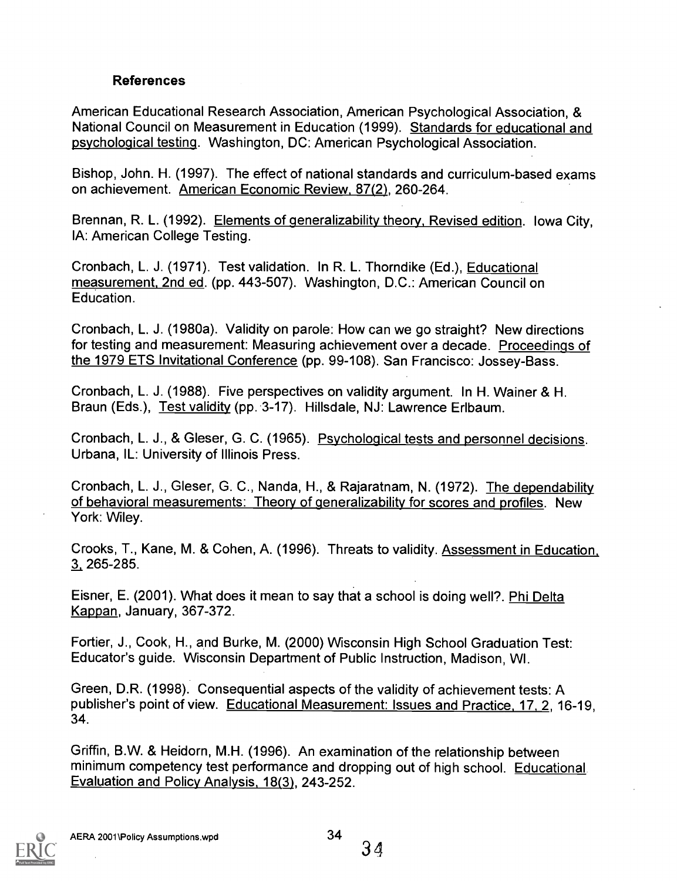### References

American Educational Research Association, American Psychological Association, & National Council on Measurement in Education (1999). Standards for educational and psychological testing. Washington, DC: American Psychological Association.

Bishop, John. H. (1997). The effect of national standards and curriculum-based exams on achievement. American Economic Review, 87(2), 260-264.

Brennan, R. L. (1992). Elements of generalizability theory, Revised edition. Iowa City, IA: American College Testing.

Cronbach, L. J. (1971). Test validation. In R. L. Thorndike (Ed.), Educational measurement, 2nd ed. (pp. 443-507). Washington, D.C.: American Council on Education.

Cronbach, L. J. (1980a). Validity on parole: How can we go straight? New directions for testing and measurement: Measuring achievement over a decade. Proceedings of the 1979 ETS Invitational Conference (pp. 99-108). San Francisco: Jossey-Bass.

Cronbach, L. J. (1988). Five perspectives on validity argument. In H. Wainer & H. Braun (Eds.), Test validity (pp. 3-17). Hillsdale, NJ: Lawrence Erlbaum.

Cronbach, L. J., & Gleser, G. C. (1965). Psychological tests and personnel decisions. Urbana, IL: University of Illinois Press.

Cronbach, L. J., Gleser, G. C., Nanda, H., & Rajaratnam, N. (1972). The dependability of behavioral measurements: Theory of generalizability for scores and profiles. New York: Wiley.

Crooks, T., Kane, M. & Cohen, A. (1996). Threats to validity. Assessment in Education, 3 265-285.

Eisner, E. (2001). What does it mean to say that a school is doing well?. Phi Delta Kappan, January, 367-372.

Fortier, J., Cook, H., and Burke, M. (2000) Wisconsin High School Graduation Test: Educator's guide. Wisconsin Department of Public Instruction, Madison, WI.

Green, D.R. (1998). Consequential aspects of the validity of achievement tests: A publisher's point of view. Educational Measurement: Issues and Practice, 17, 2, 16-19, 34.

Griffin, B.W. & Heidorn, M.H. (1996). An examination of the relationship between minimum competency test performance and dropping out of high school. Educational. Evaluation and Policy Analysis, 18(3), 243-252.

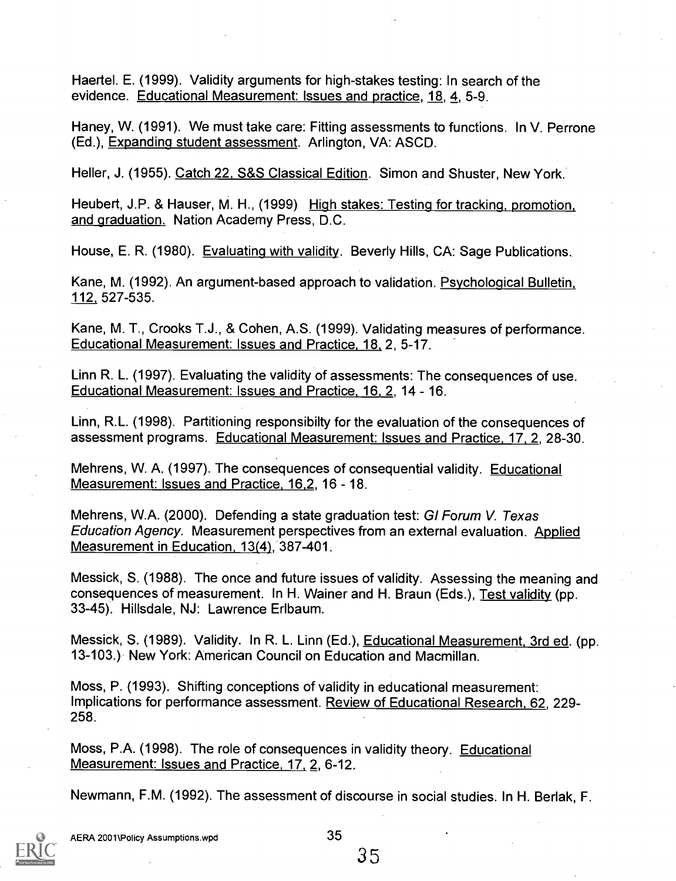Haertel. E. (1999). Validity arguments for high-stakes testing: In search of the evidence. Educational Measurement: Issues and practice, 18, 4, 5-9.

Haney, W. (1991). We must take care: Fitting assessments to functions. In V. Perrone (Ed.), Expanding student assessment. Arlington, VA: ASCD.

Heller, J. (1955). Catch 22, S&S Classical Edition. Simon and Shuster, New York.

Heubert, J.P. & Hauser, M. H., (1999) High stakes: Testing for tracking, promotion, and graduation. Nation Academy Press, D.C.

House, E. R. (1980). Evaluating with validity. Beverly Hills, CA: Sage Publications..

Kane, M. (1992). An argument-based approach to validation. Psychological Bulletin, 112. 527-535.

Kane, M. T., Crooks T.J., & Cohen, A.S. (1999). Validating measures of performance. Educational Measurement: Issues and Practice, 18, 2, 5-17.

Linn R. L. (1997). Evaluating the validity of assessments: The consequences of use. Educational Measurement: Issues and Practice, 16, 2, 14 - 16.

Linn, R.L. (1998). Partitioning responsibilty for the evaluation of the consequences of assessment programs. Educational Measurement: Issues and Practice, 17, 2, 28-30.

Mehrens, W. A. (1997). The consequences of consequential validity. Educational Measurement: Issues and Practice, 16,2, 16 - 18.

Mehrens, W.A. (2000). Defending a state graduation test: GI Forum V. Texas Education Agency. Measurement perspectives from an external evaluation. Applied Measurement in Education, 13(4), 387-401.

Messick, S. (1988). The once and future issues of validity. Assessing the meaning and consequences of measurement. In H. Wainer and H. Braun (Eds.), Test validity (pp. 33-45). Hillsdale, NJ: Lawrence Erlbaum.

Messick, S. (1989). Validity. In R. L. Linn (Ed.), Educational Measurement, 3rd ed. (pp. 13-103.) New York: American Council on Education and Macmillan.

Moss, P. (1993). Shifting conceptions of validity in educational measurement: Implications for performance assessment. Review of Educational Research, 62, 229- 258.

Moss, P.A. (1998). The role of consequences in validity theory. Educational Measurement: Issues and Practice, 17, 2, 6-12.

Newmann, F.M. (1992). The assessment of discourse in social studies. In H. Berlak, F.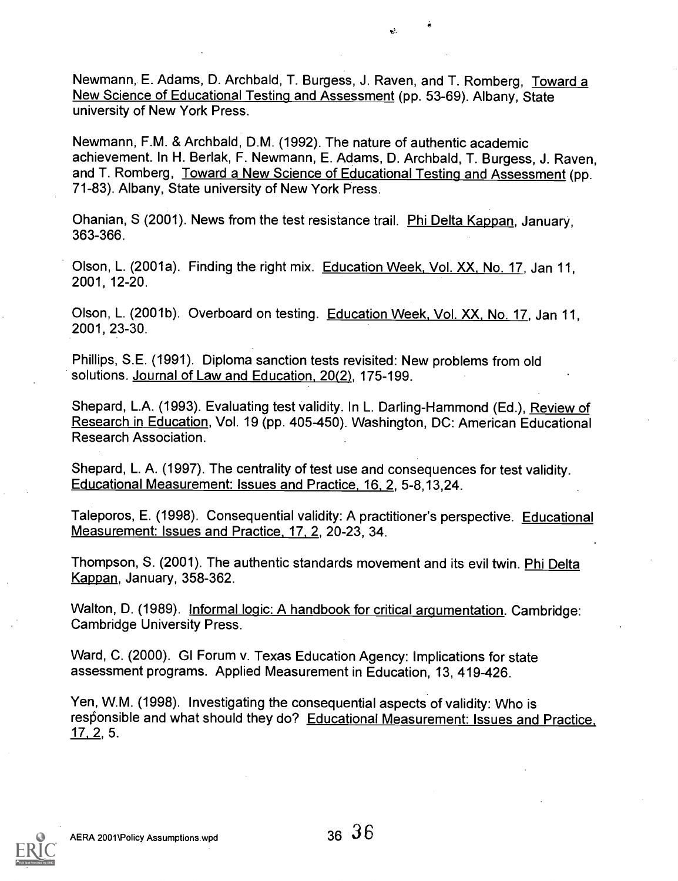$\mathbf{L}^{\mathbf{L}}$ 

Newmann, E. Adams, D. Archbald, T. Burgess, J. Raven, and T. Romberg, Toward a New Science of Educational Testing and Assessment (pp. 53-69). Albany, State university of New York Press.

Newmann, F.M. & Archbald, D.M. (1992). The nature of authentic academic achievement. In H. Berlak, F. Newmann, E. Adams, D. Archbald, T. Burgess, J. Raven, and T. Romberg, Toward a New Science of Educational Testing and Assessment (pp. 71-83). Albany, State university of New York Press.

Ohanian, S (2001). News from the test resistance trail. Phi Delta Kappan, January, 363-366.

Olson, L. (2001a). Finding the right mix. Education Week, Vol. XX, No. 17, Jan 11, 2001, 12-20.

Olson, L. (2001b). Overboard on testing. Education Week, Vol. XX, No. 17, Jan 11, 2001, 23-30.

Phillips, S.E. (1991). Diploma sanction tests revisited: New problems from old solutions. Journal of Law and Education, 20(2), 175-199.

Shepard, L.A. (1993). Evaluating test validity. In L. Darling-Hammond (Ed.), Review of Research in Education, Vol. 19 (pp. 405-450). Washington, DC: American Educational Research Association.

Shepard, L. A. (1997). The centrality of test use and consequences for test validity. Educational Measurement: Issues and Practice, 16, 2, 5-8,13,24.

Taleporos, E. (1998). Consequential validity: A practitioner's perspective. Educational Measurement: Issues and Practice. 17, 2, 20-23, 34.

Thompson, S. (2001). The authentic standards movement and its evil twin. Phi Delta Kappan, January, 358-362.

Walton, D. (1989). Informal logic: A handbook for critical argumentation. Cambridge: Cambridge University Press.

Ward, C. (2000). GI Forum v. Texas Education Agency: Implications for state assessment programs. Applied Measurement in Education, 13, 419-426.

Yen, W.M. (1998). Investigating the consequential aspects of validity: Who is responsible and what should they do? Educational Measurement: Issues and Practice,  $17, 2, 5.$ 

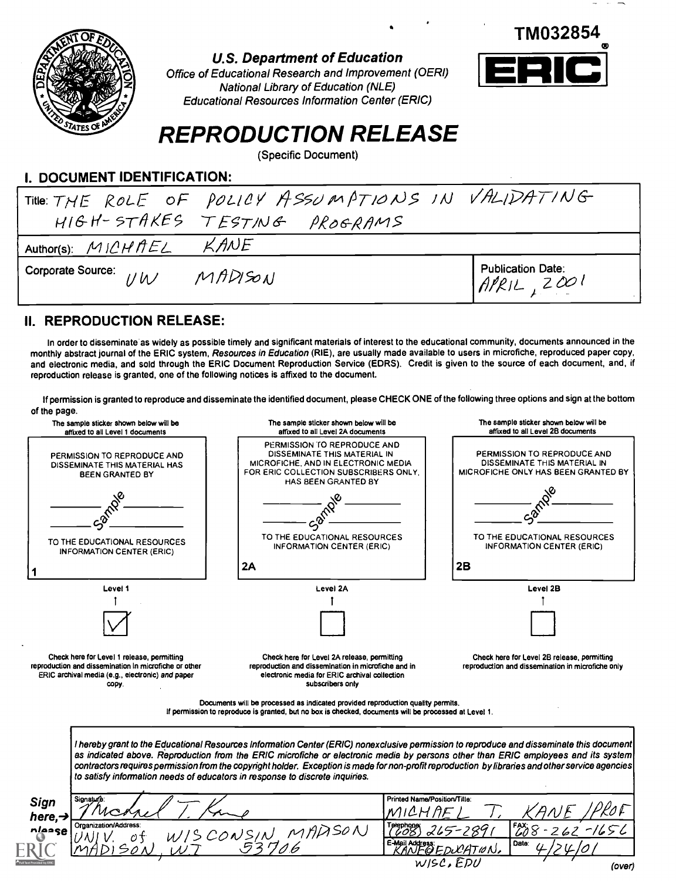

#### U.S. Department of Education



Office of Educational Research and Improvement (OERI) National Library of Education (NLE) Educational Resources Information Center (ERIC)

# REPRODUCTION RELEASE

(Specific Document)

### I. DOCUMENT IDENTIFICATION:

| Title: THE ROLE OF POLICY ASSUMPTIONS IN VALIDATING |         |                                                                                          |  |
|-----------------------------------------------------|---------|------------------------------------------------------------------------------------------|--|
| HIGH-STAKES TESTING PROGRAMS                        |         |                                                                                          |  |
| Author(s): $MICHHEL$ KANE                           |         |                                                                                          |  |
| Corporate Source: IVW                               | MADISON | Publication Date:<br>$\left\{\begin{matrix} \text{Ap}/\text{aplace}\end{matrix}\right\}$ |  |

### II. REPRODUCTION RELEASE:

In order to disseminate as widely as possible timely and significant materials of interest to the educational community, documents announced in the monthly abstract journal of the ERIC system, Resources in Education (RIE), are usually made available to users in microfiche, reproduced paper copy, and electronic media, and sold through the ERIC Document Reproduction Service (EDRS). Credit is given to the source of each document, and, if reproduction release is granted, one of the following notices is affixed to the document.

If permission is granted to reproduce and disseminate the identified document, please CHECK ONE of the following three options and sign at the bottom of the page.

| The sample sticker shown below will be<br>affixed to all Level 1 documents                                                                                       | The sample sticker shown below will be<br>affixed to all Level 2A documents                                                                                                                                                                                                                                                                                                                                                       | The sample sticker shown below will be<br>affixed to all Level 2B documents                        |  |
|------------------------------------------------------------------------------------------------------------------------------------------------------------------|-----------------------------------------------------------------------------------------------------------------------------------------------------------------------------------------------------------------------------------------------------------------------------------------------------------------------------------------------------------------------------------------------------------------------------------|----------------------------------------------------------------------------------------------------|--|
| PERMISSION TO REPRODUCE AND<br>DISSEMINATE THIS MATERIAL HAS<br><b>BEEN GRANTED BY</b>                                                                           | PERMISSION TO REPRODUCE AND<br>DISSEMINATE THIS MATERIAL IN<br>MICROFICHE, AND IN ELECTRONIC MEDIA<br>FOR ERIC COLLECTION SUBSCRIBERS ONLY.<br>HAS BEEN GRANTED BY                                                                                                                                                                                                                                                                | PERMISSION TO REPRODUCE AND<br>DISSEMINATE THIS MATERIAL IN<br>MICROFICHE ONLY HAS BEEN GRANTED BY |  |
|                                                                                                                                                                  |                                                                                                                                                                                                                                                                                                                                                                                                                                   |                                                                                                    |  |
| TO THE EDUCATIONAL RESOURCES<br><b>INFORMATION CENTER (ERIC)</b>                                                                                                 | TO THE EDUCATIONAL RESOURCES<br>INFORMATION CENTER (ERIC)<br>2A                                                                                                                                                                                                                                                                                                                                                                   | TO THE EDUCATIONAL RESOURCES<br>INFORMATION CENTER (ERIC)<br>2B                                    |  |
|                                                                                                                                                                  |                                                                                                                                                                                                                                                                                                                                                                                                                                   |                                                                                                    |  |
| Level 1                                                                                                                                                          | Level 2A                                                                                                                                                                                                                                                                                                                                                                                                                          | Level 2B                                                                                           |  |
|                                                                                                                                                                  |                                                                                                                                                                                                                                                                                                                                                                                                                                   |                                                                                                    |  |
| Check here for Level 1 release, permitting<br>reproduction and dissemination in microfiche or other<br>ERIC archival media (e.g., electronic) and paper<br>COPY. | Check here for Level 2A release, permitting<br>reproduction and dissemination in microfiche and in<br>electronic media for ERIC archival collection<br>subscribers only                                                                                                                                                                                                                                                           | Check here for Level 2B release, permitting<br>reproduction and dissemination in microfiche only   |  |
|                                                                                                                                                                  | Documents will be processed as indicated provided reproduction quality permits.                                                                                                                                                                                                                                                                                                                                                   |                                                                                                    |  |
|                                                                                                                                                                  | If permission to reproduce is granted, but no box is checked, documents will be processed at Level 1.                                                                                                                                                                                                                                                                                                                             |                                                                                                    |  |
| to satisfy information needs of educators in response to discrete inquiries.                                                                                     | I hereby grant to the Educational Resources Information Center (ERIC) nonexclusive permission to reproduce and disseminate this document<br>as indicated above. Reproduction from the ERIC microfiche or electronic media by persons other than ERIC employees and its system<br>contractors requires permission from the copyright holder. Exception is made for non-profit reproduction by libraries and other service agencies |                                                                                                    |  |
| Signatura:<br>Sign                                                                                                                                               | Printed Name/Position/Title:                                                                                                                                                                                                                                                                                                                                                                                                      |                                                                                                    |  |
| Organization/Address:                                                                                                                                            |                                                                                                                                                                                                                                                                                                                                                                                                                                   |                                                                                                    |  |
| here, $\rightarrow$<br>nlease                                                                                                                                    | Telephone<br>(COS)<br>'S CONSIN MADSON<br><u>I 53706</u>                                                                                                                                                                                                                                                                                                                                                                          | $\mathcal{L}$<br>$265 - 289$<br>E-Mail Address:<br>KANFOFDUCATION<br>Date:                         |  |